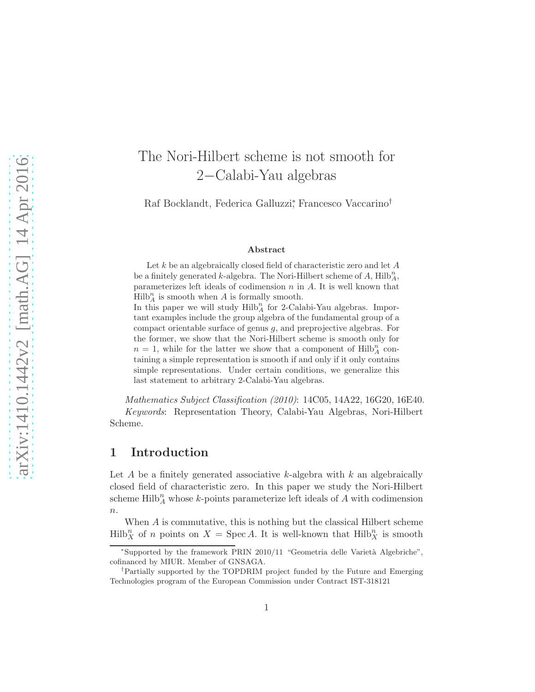# The Nori-Hilbert scheme is not smooth for 2−Calabi-Yau algebras

Raf Bocklandt, Federica Galluzzi<sup>\*</sup>, Francesco Vaccarino<sup>†</sup>

#### Abstract

Let  $k$  be an algebraically closed field of characteristic zero and let  $A$ be a finitely generated k-algebra. The Nori-Hilbert scheme of A,  $\text{Hilb}_A^n$ , parameterizes left ideals of codimension  $n$  in  $A$ . It is well known that  $Hilb_A^n$  is smooth when A is formally smooth.

In this paper we will study  $Hilb_A^n$  for 2-Calabi-Yau algebras. Important examples include the group algebra of the fundamental group of a compact orientable surface of genus  $g$ , and preprojective algebras. For the former, we show that the Nori-Hilbert scheme is smooth only for  $n = 1$ , while for the latter we show that a component of Hilb<sup>n</sup><sub>A</sub> containing a simple representation is smooth if and only if it only contains simple representations. Under certain conditions, we generalize this last statement to arbitrary 2-Calabi-Yau algebras.

Mathematics Subject Classification (2010): 14C05, 14A22, 16G20, 16E40. Keywords: Representation Theory, Calabi-Yau Algebras, Nori-Hilbert Scheme.

# 1 Introduction

Let A be a finitely generated associative k-algebra with  $k$  an algebraically closed field of characteristic zero. In this paper we study the Nori-Hilbert scheme  $\mathrm{Hilb}_A^n$  whose k-points parameterize left ideals of A with codimension  $n$ .

When A is commutative, this is nothing but the classical Hilbert scheme  $Hilb_X^n$  of n points on  $X = \operatorname{Spec} A$ . It is well-known that  $Hilb_X^n$  is smooth

<sup>\*</sup>Supported by the framework PRIN 2010/11 "Geometria delle Varietà Algebriche", cofinanced by MIUR. Member of GNSAGA.

<sup>†</sup>Partially supported by the TOPDRIM project funded by the Future and Emerging Technologies program of the European Commission under Contract IST-318121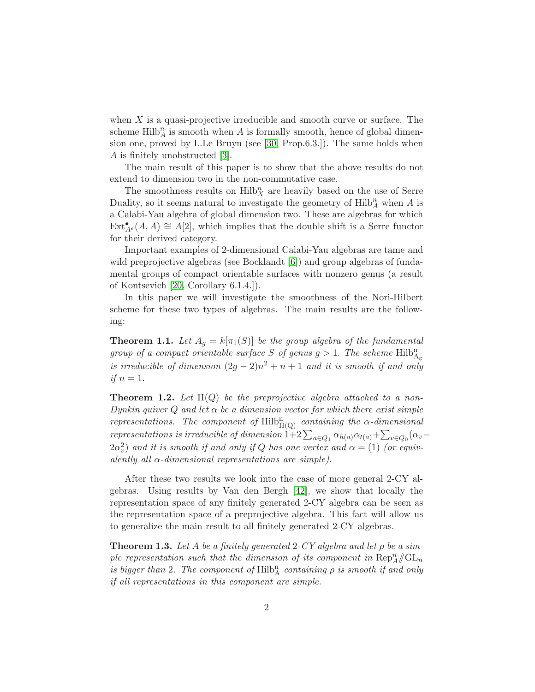when  $X$  is a quasi-projective irreducible and smooth curve or surface. The scheme  $\mathrm{Hilb}_A^n$  is smooth when A is formally smooth, hence of global dimension one, proved by L.Le Bruyn (see [\[30,](#page-31-0) Prop.6.3.]). The same holds when A is finitely unobstructed [\[3\]](#page-29-0).

The main result of this paper is to show that the above results do not extend to dimension two in the non-commutative case.

The smoothness results on  $\mathrm{Hilb}_X^n$  are heavily based on the use of Serre Duality, so it seems natural to investigate the geometry of  $\mathrm{Hilb}_A^n$  when A is a Calabi-Yau algebra of global dimension two. These are algebras for which  $\text{Ext}_{A^e}^{\bullet}(A, A) \cong A[2]$ , which implies that the double shift is a Serre functor for their derived category.

Important examples of 2-dimensional Calabi-Yau algebras are tame and wild preprojective algebras (see Bocklandt [\[6\]](#page-29-1)) and group algebras of fundamental groups of compact orientable surfaces with nonzero genus (a result of Kontsevich [\[20,](#page-30-0) Corollary 6.1.4.]).

In this paper we will investigate the smoothness of the Nori-Hilbert scheme for these two types of algebras. The main results are the following:

<span id="page-1-0"></span>**Theorem 1.1.** Let  $A_g = k[\pi_1(S)]$  be the group algebra of the fundamental group of a compact orientable surface S of genus  $g > 1$ . The scheme  $\mathrm{Hilb}^n_{\mathrm{Ag}}$ is irreducible of dimension  $(2g-2)n^2 + n + 1$  and it is smooth if and only if  $n=1$ .

<span id="page-1-1"></span>**Theorem 1.2.** Let  $\Pi(Q)$  be the preprojective algebra attached to a non-Dynkin quiver Q and let  $\alpha$  be a dimension vector for which there exist simple representations. The component of  $\mathrm{Hilb}^n_{\Pi(Q)}$  containing the  $\alpha$ -dimensional representations is irreducible of dimension  $1+2\sum_{a\in Q_1}\alpha_{h(a)}\alpha_{t(a)}+\sum_{v\in Q_0}(\alpha_v-\alpha_v)$  $2\alpha_v^2)$  and it is smooth if and only if  $Q$  has one vertex and  $\alpha=(1)$  (or equivalently all  $\alpha$ -dimensional representations are simple).

After these two results we look into the case of more general 2-CY algebras. Using results by Van den Bergh [\[42\]](#page-32-0), we show that locally the representation space of any finitely generated 2-CY algebra can be seen as the representation space of a preprojective algebra. This fact will allow us to generalize the main result to all finitely generated 2-CY algebras.

<span id="page-1-2"></span>**Theorem 1.3.** Let A be a finitely generated 2-CY algebra and let  $\rho$  be a simple representation such that the dimension of its component in  $\text{Rep}_A^n/\!\!/ \text{GL}_n$ is bigger than 2. The component of  $\mathrm{Hilb}^n_A$  containing  $\rho$  is smooth if and only if all representations in this component are simple.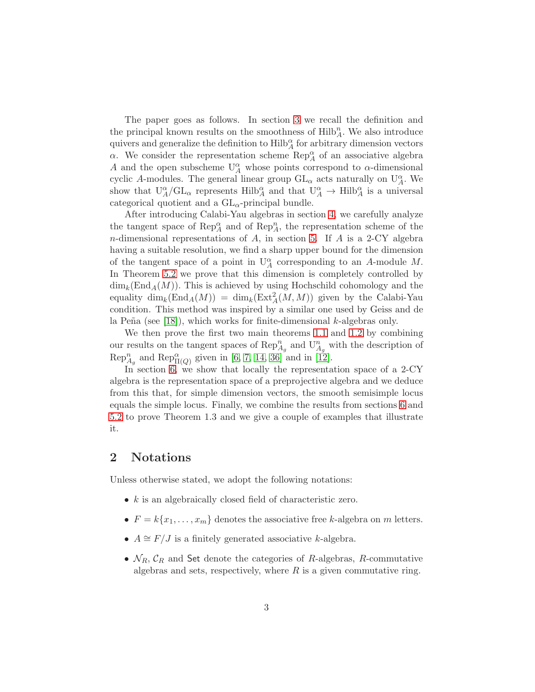The paper goes as follows. In section [3](#page-3-0) we recall the definition and the principal known results on the smoothness of  $\mathrm{Hilb}_A^n$ . We also introduce quivers and generalize the definition to  $\mathrm{Hilb}_A^\alpha$  for arbitrary dimension vectors  $\alpha$ . We consider the representation scheme  $\operatorname{Rep}_A^{\alpha}$  of an associative algebra A and the open subscheme  $U_A^{\alpha}$  whose points correspond to  $\alpha$ -dimensional cyclic A-modules. The general linear group  $GL_{\alpha}$  acts naturally on  $U_{A}^{\alpha}$ . We show that  $U_A^{\alpha}/GL_{\alpha}$  represents  $Hilb_A^{\alpha}$  and that  $U_A^{\alpha} \to Hilb_A^{\alpha}$  is a universal categorical quotient and a  $GL_{\alpha}$ -principal bundle.

After introducing Calabi-Yau algebras in section [4,](#page-8-0) we carefully analyze the tangent space of  $\operatorname{Rep}_A^{\alpha}$  and of  $\operatorname{Rep}_A^n$ , the representation scheme of the n-dimensional representations of A, in section [5.](#page-10-0) If A is a 2-CY algebra having a suitable resolution, we find a sharp upper bound for the dimension of the tangent space of a point in  $U_A^{\alpha}$  corresponding to an A-module M. In Theorem [5.2](#page-11-0) we prove that this dimension is completely controlled by  $\dim_k(\text{End}_A(M))$ . This is achieved by using Hochschild cohomology and the equality  $\dim_k(\text{End}_A(M)) = \dim_k(\text{Ext}^2_A(M,M))$  given by the Calabi-Yau condition. This method was inspired by a similar one used by Geiss and de la Peña (see [\[18\]](#page-30-1)), which works for finite-dimensional  $k$ -algebras only.

We then prove the first two main theorems [1.1](#page-1-0) and [1.2](#page-1-1) by combining our results on the tangent spaces of  $\text{Rep}_{A_g}^n$  and  $U_{A_g}^n$  with the description of  $\operatorname{Rep}_{A_g}^n$  and  $\operatorname{Rep}_{\Pi(Q)}^{\alpha}$  given in [\[6,](#page-29-1) [7,](#page-29-2) [14,](#page-29-3) [36\]](#page-31-1) and in [\[12\]](#page-29-4).

In section [6,](#page-18-0) we show that locally the representation space of a 2-CY algebra is the representation space of a preprojective algebra and we deduce from this that, for simple dimension vectors, the smooth semisimple locus equals the simple locus. Finally, we combine the results from sections [6](#page-18-0) and [5.2](#page-14-0) to prove Theorem 1.3 and we give a couple of examples that illustrate it.

### 2 Notations

Unless otherwise stated, we adopt the following notations:

- $k$  is an algebraically closed field of characteristic zero.
- $F = k\{x_1, \ldots, x_m\}$  denotes the associative free k-algebra on m letters.
- $A \cong F/J$  is a finitely generated associative k-algebra.
- $\mathcal{N}_R$ ,  $\mathcal{C}_R$  and Set denote the categories of R-algebras, R-commutative algebras and sets, respectively, where  $R$  is a given commutative ring.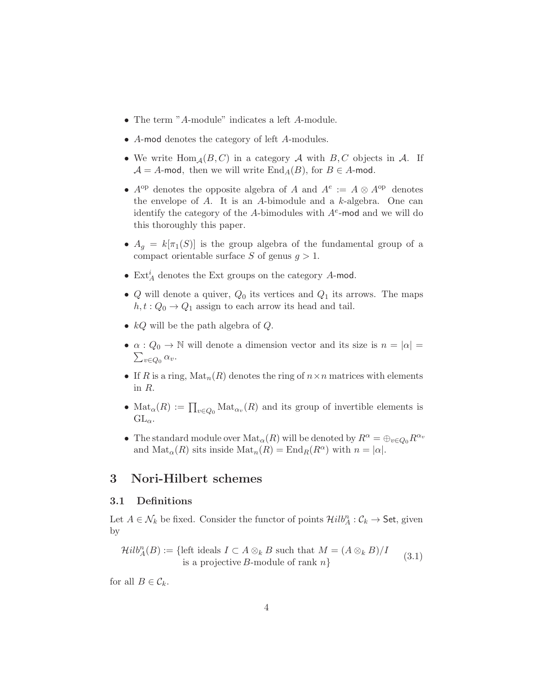- The term "A-module" indicates a left A-module.
- A-mod denotes the category of left A-modules.
- We write  $\text{Hom}_{\mathcal{A}}(B, C)$  in a category  $\mathcal A$  with  $B, C$  objects in  $\mathcal A$ . If  $A = A$ -mod, then we will write  $\text{End}_A(B)$ , for  $B \in A$ -mod.
- $A^{op}$  denotes the opposite algebra of A and  $A^e := A \otimes A^{op}$  denotes the envelope of  $A$ . It is an  $A$ -bimodule and a  $k$ -algebra. One can identify the category of the A-bimodules with  $A^e$ -mod and we will do this thoroughly this paper.
- $A_g = k[\pi_1(S)]$  is the group algebra of the fundamental group of a compact orientable surface S of genus  $q > 1$ .
- $\operatorname{Ext}_A^i$  denotes the Ext groups on the category A-mod.
- Q will denote a quiver,  $Q_0$  its vertices and  $Q_1$  its arrows. The maps  $h, t: Q_0 \to Q_1$  assign to each arrow its head and tail.
- $kQ$  will be the path algebra of  $Q$ .
- $\alpha: Q_0 \to \mathbb{N}$  will denote a dimension vector and its size is  $n = |\alpha| =$  $\sum_{v\in Q_0} \alpha_v.$
- If R is a ring,  $\text{Mat}_n(R)$  denotes the ring of  $n \times n$  matrices with elements in R.
- $\text{Mat}_{\alpha}(R) := \prod_{v \in Q_0} \text{Mat}_{\alpha_v}(R)$  and its group of invertible elements is  $GL_{\alpha}$ .
- The standard module over  $\text{Mat}_{\alpha}(R)$  will be denoted by  $R^{\alpha} = \bigoplus_{v \in Q_0} R^{\alpha_v}$ and  $\text{Mat}_{\alpha}(R)$  sits inside  $\text{Mat}_n(R) = \text{End}_R(R^{\alpha})$  with  $n = |\alpha|$ .

# <span id="page-3-0"></span>3 Nori-Hilbert schemes

### 3.1 Definitions

Let  $A \in \mathcal{N}_k$  be fixed. Consider the functor of points  $\mathcal{H}ilb_A^n : \mathcal{C}_k \to \mathsf{Set}$ , given by

$$
\mathcal{H}ilb_A^n(B) := \{ \text{left ideals } I \subset A \otimes_k B \text{ such that } M = (A \otimes_k B)/I \text{ is a projective } B\text{-module of rank } n \}
$$
 (3.1)

for all  $B \in \mathcal{C}_k$ .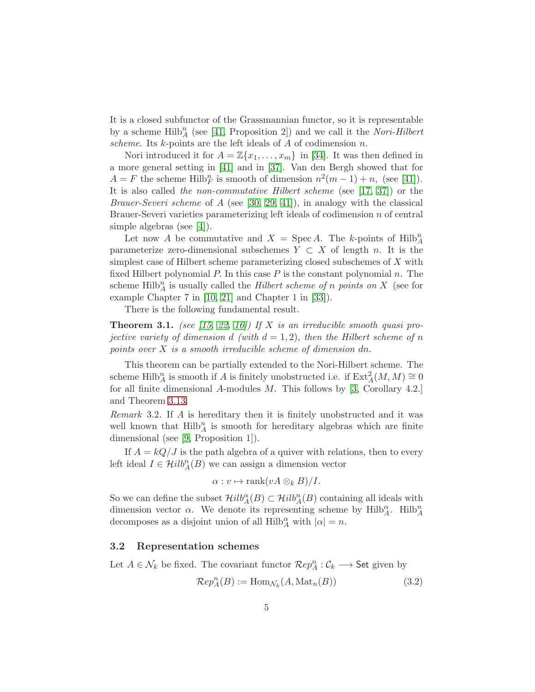It is a closed subfunctor of the Grassmannian functor, so it is representable by a scheme  $Hilb_A^n$  (see [\[41,](#page-32-1) Proposition 2]) and we call it the *Nori-Hilbert* scheme. Its  $k$ -points are the left ideals of  $A$  of codimension  $n$ .

Nori introduced it for  $A = \mathbb{Z}\{x_1, \ldots, x_m\}$  in [\[34\]](#page-31-2). It was then defined in a more general setting in [\[41\]](#page-32-1) and in [\[37\]](#page-31-3). Van den Bergh showed that for  $A = F$  the scheme Hilb<sup>n</sup><sub>F</sub> is smooth of dimension  $n^2(m-1) + n$ , (see [\[41\]](#page-32-1)). It is also called the non-commutative Hilbert scheme (see [\[17,](#page-30-2) [37\]](#page-31-3)) or the *Brauer-Severi scheme* of A (see [\[30,](#page-31-0) [29,](#page-31-4) [41\]](#page-32-1)), in analogy with the classical Brauer-Severi varieties parameterizing left ideals of codimension n of central simple algebras (see [\[4\]](#page-29-5)).

Let now A be commutative and  $X = \text{Spec } A$ . The k-points of  $\text{Hilb}_A^n$ parameterize zero-dimensional subschemes  $Y \subset X$  of length n. It is the simplest case of Hilbert scheme parameterizing closed subschemes of X with fixed Hilbert polynomial  $P$ . In this case  $P$  is the constant polynomial  $n$ . The scheme Hilb<sup>n</sup><sub>A</sub> is usually called the *Hilbert scheme of n points on* X (see for example Chapter 7 in [\[10,](#page-29-6) [21\]](#page-30-3) and Chapter 1 in [\[33\]](#page-31-5)).

There is the following fundamental result.

**Theorem 3.1.** (see [\[15,](#page-30-4) [22,](#page-30-5) [16\]](#page-30-6)) If X is an irreducible smooth quasi projective variety of dimension d (with  $d = 1, 2$ ), then the Hilbert scheme of n points over  $X$  is a smooth irreducible scheme of dimension dn.

This theorem can be partially extended to the Nori-Hilbert scheme. The scheme Hilb<sup>n</sup><sub>A</sub> is smooth if A is finitely unobstructed i.e. if  $\text{Ext}_{A}^{2}(M, M) \cong 0$ for all finite dimensional A-modules  $M$ . This follows by [\[3,](#page-29-0) Corollary 4.2.] and Theorem [3.13.](#page-7-0)

Remark 3.2. If A is hereditary then it is finitely unobstructed and it was well known that  $Hilb_A^n$  is smooth for hereditary algebras which are finite dimensional (see [\[9,](#page-29-7) Proposition 1]).

If  $A = kQ/J$  is the path algebra of a quiver with relations, then to every left ideal  $I \in \mathcal{H}ilb_A^n(B)$  we can assign a dimension vector

$$
\alpha: v \mapsto \text{rank}(vA \otimes_k B)/I.
$$

So we can define the subset  $\mathcal{H}ilb_A^{\alpha}(B) \subset \mathcal{H}ilb_A^{n}(B)$  containing all ideals with dimension vector  $\alpha$ . We denote its representing scheme by  $Hilb_A^{\alpha}$ .  $Hilb_A^{\alpha}$ decomposes as a disjoint union of all  $Hilb^{\alpha}_A$  with  $|\alpha|=n$ .

#### 3.2 Representation schemes

Let  $A \in \mathcal{N}_k$  be fixed. The covariant functor  $\mathcal{R}e p_A^n : \mathcal{C}_k \longrightarrow$  Set given by

$$
\mathcal{R}ep_A^n(B) := \text{Hom}_{\mathcal{N}_k}(A, \text{Mat}_n(B))\tag{3.2}
$$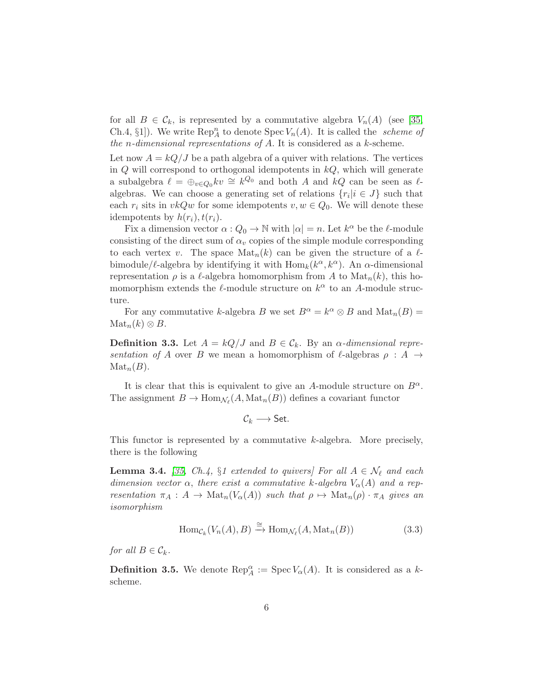for all  $B \in \mathcal{C}_k$ , is represented by a commutative algebra  $V_n(A)$  (see [\[35,](#page-31-6) Ch.4, §1]). We write  $\text{Rep}_A^n$  to denote  $\text{Spec } V_n(A)$ . It is called the *scheme of* the *n*-dimensional representations of  $A$ . It is considered as a  $k$ -scheme.

Let now  $A = kQ/J$  be a path algebra of a quiver with relations. The vertices in  $Q$  will correspond to orthogonal idempotents in  $kQ$ , which will generate a subalgebra  $\ell = \bigoplus_{v \in Q_0} kv \cong k^{Q_0}$  and both A and kQ can be seen as  $\ell$ algebras. We can choose a generating set of relations  $\{r_i | i \in J\}$  such that each  $r_i$  sits in  $vkQw$  for some idempotents  $v, w \in Q_0$ . We will denote these idempotents by  $h(r_i)$ ,  $t(r_i)$ .

Fix a dimension vector  $\alpha: Q_0 \to \mathbb{N}$  with  $|\alpha| = n$ . Let  $k^{\alpha}$  be the  $\ell$ -module consisting of the direct sum of  $\alpha_v$  copies of the simple module corresponding to each vertex v. The space  $\text{Mat}_n(k)$  can be given the structure of a  $\ell$ bimodule/ $\ell$ -algebra by identifying it with  $\text{Hom}_k(k^{\alpha}, k^{\alpha})$ . An  $\alpha$ -dimensional representation  $\rho$  is a  $\ell$ -algebra homomorphism from A to  $\text{Mat}_n(k)$ , this homomorphism extends the  $\ell$ -module structure on  $k^{\alpha}$  to an A-module structure.

For any commutative k-algebra B we set  $B^{\alpha} = k^{\alpha} \otimes B$  and  $\text{Mat}_n(B) =$  $\operatorname{Mat}_n(k)\otimes B$ .

**Definition 3.3.** Let  $A = kQ/J$  and  $B \in C_k$ . By an  $\alpha$ -dimensional representation of A over B we mean a homomorphism of  $\ell$ -algebras  $\rho : A \rightarrow$  $\mathrm{Mat}_n(B)$ .

It is clear that this is equivalent to give an A-module structure on  $B^{\alpha}$ . The assignment  $B \to \text{Hom}_{\mathcal{N}_{\ell}}(A, \text{Mat}_n(B))$  defines a covariant functor

$$
\mathcal{C}_k \longrightarrow \mathsf{Set}.
$$

This functor is represented by a commutative  $k$ -algebra. More precisely, there is the following

**Lemma 3.4.** [\[35,](#page-31-6) Ch.4, §1 extended to quivers] For all  $A \in \mathcal{N}_{\ell}$  and each dimension vector  $\alpha$ , there exist a commutative k-algebra  $V_{\alpha}(A)$  and a representation  $\pi_A : A \to \text{Mat}_n(V_\alpha(A))$  such that  $\rho \mapsto \text{Mat}_n(\rho) \cdot \pi_A$  gives an isomorphism

$$
\text{Hom}_{\mathcal{C}_k}(V_n(A), B) \xrightarrow{\cong} \text{Hom}_{\mathcal{N}_\ell}(A, \text{Mat}_n(B)) \tag{3.3}
$$

for all  $B \in \mathcal{C}_k$ .

**Definition 3.5.** We denote  $\text{Rep}_A^{\alpha} := \text{Spec } V_{\alpha}(A)$ . It is considered as a kscheme.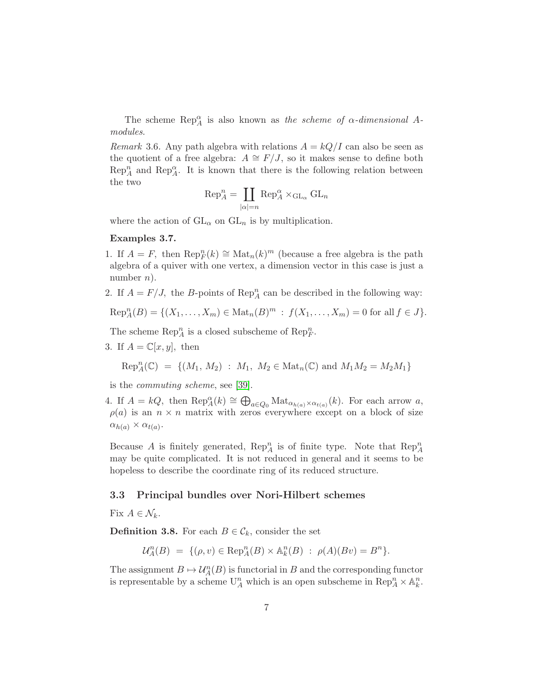The scheme  $\text{Rep}_A^{\alpha}$  is also known as the scheme of  $\alpha$ -dimensional Amodules.

<span id="page-6-0"></span>Remark 3.6. Any path algebra with relations  $A = kQ/I$  can also be seen as the quotient of a free algebra:  $A \cong F/J$ , so it makes sense to define both  $\text{Rep}_A^n$  and  $\text{Rep}_A^{\alpha}$ . It is known that there is the following relation between the two

$$
\operatorname{Rep}_A^n = \coprod_{|\alpha| = n} \operatorname{Rep}_A^{\alpha} \times_{\operatorname{GL}_\alpha} \operatorname{GL}_n
$$

where the action of  $GL_{\alpha}$  on  $GL_n$  is by multiplication.

#### Examples 3.7.

- 1. If  $A = F$ , then  $\text{Rep}_F^n(k) \cong \text{Mat}_n(k)^m$  (because a free algebra is the path algebra of a quiver with one vertex, a dimension vector in this case is just a number  $n$ ).
- 2. If  $A = F/J$ , the B-points of Rep<sup>n</sup><sub>A</sub> can be described in the following way:

$$
\text{Rep}_A^n(B) = \{(X_1, \ldots, X_m) \in \text{Mat}_n(B)^m : f(X_1, \ldots, X_m) = 0 \text{ for all } f \in J\}.
$$

The scheme  ${\mathop{\mathrm{Rep}}\nolimits}_A^n$  is a closed subscheme of  ${\mathop{\mathrm{Rep}}\nolimits}_F^n.$ 

3. If  $A = \mathbb{C}[x, y]$ , then

$$
Rep_A^n(\mathbb{C}) = \{ (M_1, M_2) : M_1, M_2 \in Mat_n(\mathbb{C}) \text{ and } M_1M_2 = M_2M_1 \}
$$

is the commuting scheme, see [\[39\]](#page-31-7).

4. If  $A = kQ$ , then  $\text{Rep}_A^{\alpha}(k) \cong \bigoplus_{a \in Q_0} \text{Mat}_{\alpha_{h(a)} \times \alpha_{t(a)}}(k)$ . For each arrow a,  $\rho(a)$  is an  $n \times n$  matrix with zeros everywhere except on a block of size  $\alpha_{h(a)} \times \alpha_{t(a)}$ .

Because A is finitely generated,  $\text{Rep}_A^n$  is of finite type. Note that  $\text{Rep}_A^n$ may be quite complicated. It is not reduced in general and it seems to be hopeless to describe the coordinate ring of its reduced structure.

#### 3.3 Principal bundles over Nori-Hilbert schemes

Fix  $A \in \mathcal{N}_k$ .

**Definition 3.8.** For each  $B \in \mathcal{C}_k$ , consider the set

$$
\mathcal{U}_A^n(B) = \{(\rho, v) \in \text{Rep}_A^n(B) \times \mathbb{A}_k^n(B) : \ \rho(A)(Bv) = B^n\}.
$$

The assignment  $B \mapsto U_A^n(B)$  is functorial in B and the corresponding functor is representable by a scheme  $U_A^n$  which is an open subscheme in  $\operatorname{Rep}_A^n \times \mathbb{A}_k^n$ .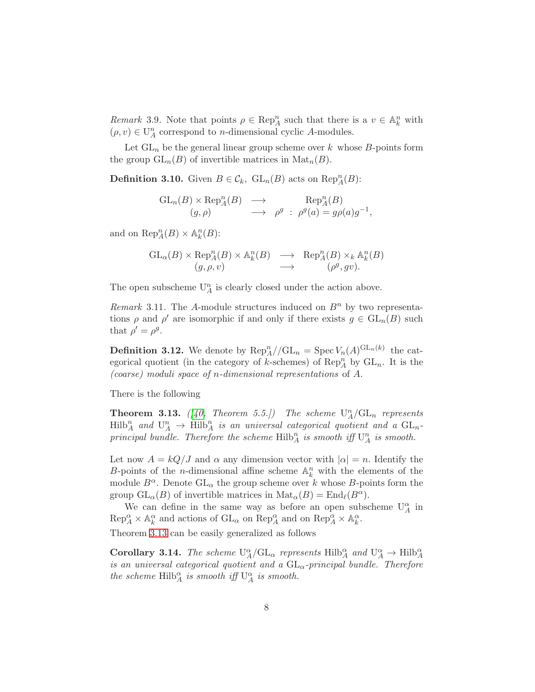Remark 3.9. Note that points  $\rho \in \text{Rep}_A^n$  such that there is a  $v \in \mathbb{A}_k^n$  with  $(\rho, v) \in \mathcal{U}_A^n$  correspond to  $n\text{-dimensional cyclic }A\text{-modules.}$ 

Let  $GL_n$  be the general linear group scheme over k whose B-points form the group  $GL_n(B)$  of invertible matrices in  $\text{Mat}_n(B)$ .

**Definition 3.10.** Given  $B \in \mathcal{C}_k$ ,  $\mathrm{GL}_n(B)$  acts on  $\mathrm{Rep}_A^n(B)$ :

$$
\mathrm{GL}_n(B) \times \mathrm{Rep}_A^n(B) \longrightarrow \mathrm{Rep}_A^n(B)
$$
  
\n
$$
(g,\rho) \longrightarrow \rho^g : \rho^g(a) = g\rho(a)g^{-1},
$$

and on  $\text{Rep}_A^n(B) \times \mathbb{A}_k^n(B)$ :

$$
\mathrm{GL}_{\alpha}(B) \times \mathrm{Rep}_{A}^{n}(B) \times \mathbb{A}_{k}^{n}(B) \longrightarrow \mathrm{Rep}_{A}^{n}(B) \times_{k} \mathbb{A}_{k}^{n}(B) (g, \rho, v) \longrightarrow (\rho^{g}, gv).
$$

The open subscheme  $\mathrm{U}_A^n$  is clearly closed under the action above.

Remark 3.11. The A-module structures induced on  $B<sup>n</sup>$  by two representations  $\rho$  and  $\rho'$  are isomorphic if and only if there exists  $g \in GL_n(B)$  such that  $\rho' = \rho^g$ .

**Definition 3.12.** We denote by  $\text{Rep}_A^n//\text{GL}_n = \text{Spec } V_n(A)^{\text{GL}_n(k)}$  the categorical quotient (in the category of k-schemes) of  $\text{Rep}_A^n$  by  $\text{GL}_n$ . It is the (coarse) moduli space of n-dimensional representations of A.

There is the following

<span id="page-7-0"></span>**Theorem 3.13.** ([\[40,](#page-31-8) Theorem 5.5.]) The scheme  $U_A^n/GL_n$  represents  $\mathrm{Hilb}_A^n$  and  $\mathrm{U}_A^n \to \mathrm{Hilb}_A^n$  is an universal categorical quotient and a  $\mathrm{GL}_n$ principal bundle. Therefore the scheme  $\mathrm{Hilb}_A^n$  is smooth iff  $\mathrm{U}_A^n$  is smooth.

Let now  $A = kQ/J$  and  $\alpha$  any dimension vector with  $|\alpha| = n$ . Identify the B-points of the *n*-dimensional affine scheme  $\mathbb{A}_k^n$  with the elements of the module  $B^{\alpha}$ . Denote  $GL_{\alpha}$  the group scheme over k whose B-points form the group  $GL_{\alpha}(B)$  of invertible matrices in  $\text{Mat}_{\alpha}(B) = \text{End}_{\ell}(B^{\alpha}).$ 

We can define in the same way as before an open subscheme  $U^\alpha_A$  in  $\operatorname{Rep}_A^{\alpha} \times \mathbb{A}_k^{\alpha}$  and actions of  $\operatorname{GL}_{\alpha}$  on  $\operatorname{Rep}_A^{\alpha}$  and on  $\operatorname{Rep}_A^{\alpha} \times \mathbb{A}_k^{\alpha}$ .

Theorem [3.13](#page-7-0) can be easily generalized as follows

Corollary 3.14. The scheme  $U_A^{\alpha}/GL_{\alpha}$  represents  $Hilb^{\alpha}_A$  and  $U_A^{\alpha} \to Hilb^{\alpha}_A$ is an universal categorical quotient and a  $GL_{\alpha}$ -principal bundle. Therefore the scheme  $\text{Hilb}_A^{\alpha}$  is smooth iff  $\mathbf{U}_A^{\alpha}$  is smooth.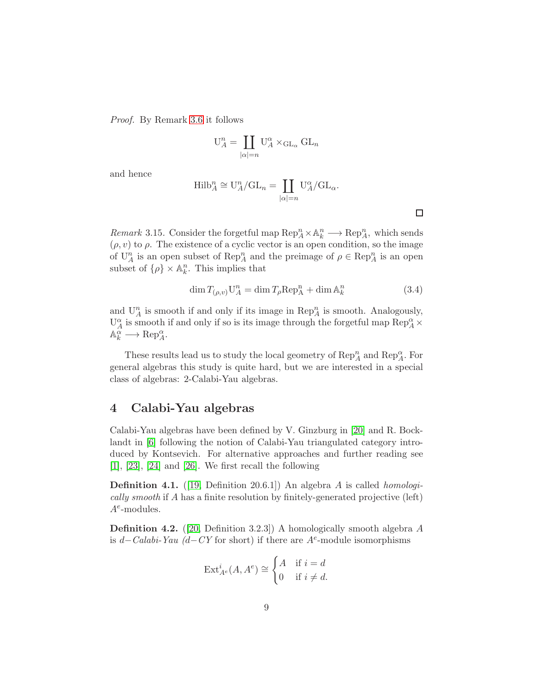Proof. By Remark [3.6](#page-6-0) it follows

$$
U_A^n = \coprod_{|\alpha|=n} U_A^{\alpha} \times_{GL_{\alpha}} GL_n
$$

and hence

$$
Hilb_A^n \cong U_A^n / GL_n = \coprod_{|\alpha|=n} U_A^{\alpha} / GL_{\alpha}.
$$

 $\Box$ 

*Remark* 3.15. Consider the forgetful map  $\text{Rep}_A^n \times \mathbb{A}_k^n \longrightarrow \text{Rep}_A^n$ , which sends  $(\rho, v)$  to  $\rho$ . The existence of a cyclic vector is an open condition, so the image of  $\mathbf{U}_A^n$  is an open subset of  $\mathbf{Rep}_A^n$  and the preimage of  $\rho \in \mathbf{Rep}_A^n$  is an open subset of  $\{\rho\} \times \mathbb{A}_k^n$ . This implies that

$$
\dim T_{(\rho,v)} \mathbf{U}_A^n = \dim T_\rho \operatorname{Rep}_A^n + \dim \mathbb{A}_k^n \tag{3.4}
$$

and  $\mathbf{U}_A^n$  is smooth if and only if its image in  $\mathsf{Rep}_A^n$  is smooth. Analogously,  $\mathrm{U}^\alpha_A$  is smooth if and only if so is its image through the forgetful map  $\mathrm{Rep}_A^\alpha\times$  $\mathbb{A}_k^{\alpha} \longrightarrow \operatorname{Rep}_{A}^{\alpha}.$ 

These results lead us to study the local geometry of  ${\mathop{\mathrm{Rep}}\nolimits}_A^n$  and  ${\mathop{\mathrm{Rep}}\nolimits}_A^\alpha.$  For general algebras this study is quite hard, but we are interested in a special class of algebras: 2-Calabi-Yau algebras.

# <span id="page-8-0"></span>4 Calabi-Yau algebras

Calabi-Yau algebras have been defined by V. Ginzburg in [\[20\]](#page-30-0) and R. Bocklandt in [\[6\]](#page-29-1) following the notion of Calabi-Yau triangulated category introduced by Kontsevich. For alternative approaches and further reading see  $[1]$ ,  $[23]$ ,  $[24]$  and  $[26]$ . We first recall the following

**Definition 4.1.** ([\[19,](#page-30-10) Definition 20.6.1]) An algebra A is called *homologi*cally smooth if A has a finite resolution by finitely-generated projective (left)  $A^e$ -modules.

Definition 4.2. ([\[20,](#page-30-0) Definition 3.2.3]) A homologically smooth algebra A is  $d - Calabi-Yau$  ( $d - CY$  for short) if there are  $A<sup>e</sup>$ -module isomorphisms

$$
\operatorname{Ext}_{A^e}^i(A, A^e) \cong \begin{cases} A & \text{if } i = d \\ 0 & \text{if } i \neq d. \end{cases}
$$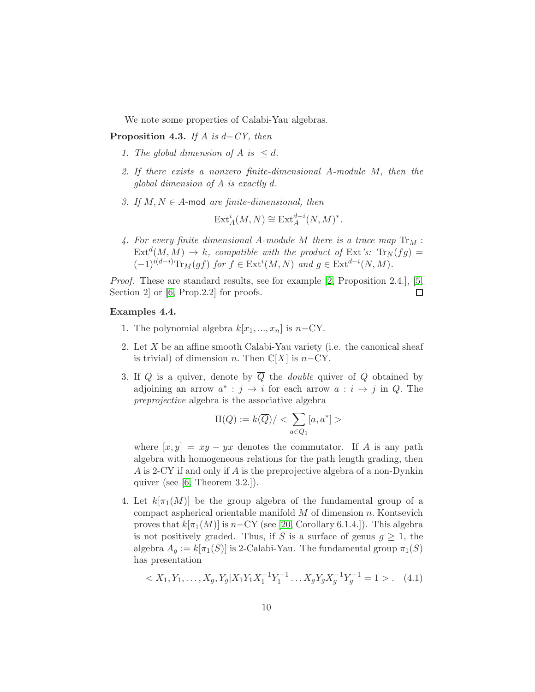We note some properties of Calabi-Yau algebras.

**Proposition 4.3.** If A is  $d$ -CY, then

- 1. The global dimension of A is  $\leq d$ .
- 2. If there exists a nonzero finite-dimensional A-module M, then the global dimension of A is exactly d.
- 3. If  $M, N \in A$ -mod are finite-dimensional, then

$$
\text{Ext}^i_A(M, N) \cong \text{Ext}^{d-i}_A(N, M)^*.
$$

4. For every finite dimensional A-module M there is a trace map  $\text{Tr}_M$ :  $\text{Ext}^d(M, M) \to k$ , compatible with the product of  $\text{Ext}'s$ :  $\text{Tr}_N(fg) =$  $(-1)^{i(d-i)} \text{Tr}_M(gf)$  for  $f \in \text{Ext}^i(M, N)$  and  $g \in \text{Ext}^{d-i}(N, M)$ .

Proof. These are standard results, see for example [\[2,](#page-29-9) Proposition 2.4.], [\[5,](#page-29-10) Section 2 or [\[6,](#page-29-1) Prop. 2.2] for proofs.  $\Box$ 

### <span id="page-9-1"></span>Examples 4.4.

- 1. The polynomial algebra  $k[x_1, ..., x_n]$  is  $n-\text{CY}$ .
- 2. Let X be an affine smooth Calabi-Yau variety (i.e. the canonical sheaf is trivial) of dimension n. Then  $\mathbb{C}[X]$  is n–CY.
- 3. If Q is a quiver, denote by  $\overline{Q}$  the *double* quiver of Q obtained by adjoining an arrow  $a^* : j \to i$  for each arrow  $a : i \to j$  in Q. The preprojective algebra is the associative algebra

$$
\Pi(Q):=k(\overline{Q})/<\sum_{a\in Q_1}[a,a^*]>
$$

where  $[x, y] = xy - yx$  denotes the commutator. If A is any path algebra with homogeneous relations for the path length grading, then A is 2-CY if and only if A is the preprojective algebra of a non-Dynkin quiver (see [\[6,](#page-29-1) Theorem 3.2.]).

4. Let  $k[\pi_1(M)]$  be the group algebra of the fundamental group of a compact aspherical orientable manifold  $M$  of dimension  $n$ . Kontsevich proves that  $k[\pi_1(M)]$  is  $n-\text{CY}$  (see [\[20,](#page-30-0) Corollary 6.1.4.]). This algebra is not positively graded. Thus, if S is a surface of genus  $q \geq 1$ , the algebra  $A_g := k[\pi_1(S)]$  is 2-Calabi-Yau. The fundamental group  $\pi_1(S)$ has presentation

<span id="page-9-0"></span>
$$
\langle X_1, Y_1, \dots, X_g, Y_g | X_1 Y_1 X_1^{-1} Y_1^{-1} \dots X_g Y_g X_g^{-1} Y_g^{-1} = 1 \rangle. \tag{4.1}
$$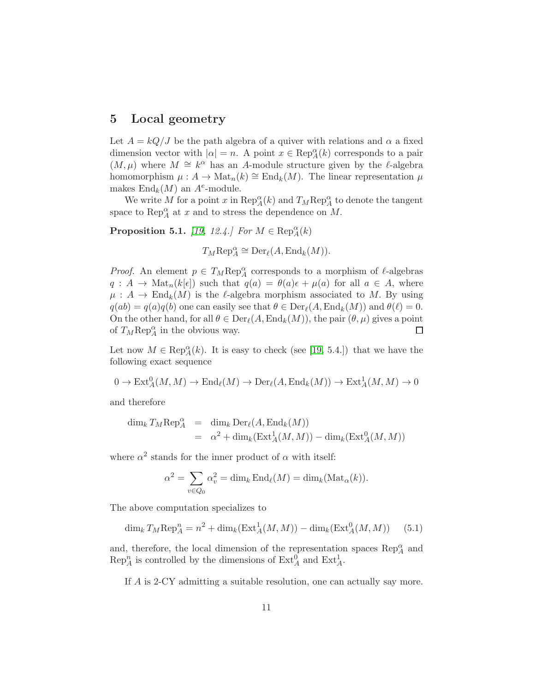# <span id="page-10-0"></span>5 Local geometry

Let  $A = kQ/J$  be the path algebra of a quiver with relations and  $\alpha$  a fixed dimension vector with  $|\alpha| = n$ . A point  $x \in \text{Rep}_A^{\alpha}(k)$  corresponds to a pair  $(M, \mu)$  where  $M \cong k^{\alpha}$  has an A-module structure given by the  $\ell$ -algebra homomorphism  $\mu: A \to \text{Mat}_n(k) \cong \text{End}_k(M)$ . The linear representation  $\mu$ makes  $\text{End}_k(M)$  an  $A^e$ -module.

We write M for a point x in  $\text{Rep}_A^{\alpha}(k)$  and  $T_M \text{Rep}_A^{\alpha}$  to denote the tangent space to  $\text{Rep}_A^{\alpha}$  at x and to stress the dependence on M.

**Proposition 5.1.** [\[19,](#page-30-10) 12.4.] For  $M \in \text{Rep}_{A}^{\alpha}(k)$ 

 $T_M \text{Rep}_A^{\alpha} \cong \text{Der}_{\ell}(A, \text{End}_k(M)).$ 

*Proof.* An element  $p \in T_M \text{Rep}_A^{\alpha}$  corresponds to a morphism of  $\ell$ -algebras  $q : A \to \text{Mat}_n(k[\epsilon])$  such that  $q(a) = \theta(a)\epsilon + \mu(a)$  for all  $a \in A$ , where  $\mu: A \to \text{End}_k(M)$  is the  $\ell$ -algebra morphism associated to M. By using  $q(ab) = q(a)q(b)$  one can easily see that  $\theta \in \text{Der}_{\ell}(A, \text{End}_k(M))$  and  $\theta(\ell) = 0$ . On the other hand, for all  $\theta \in \mathrm{Der}_{\ell}(A, \mathrm{End}_k(M))$ , the pair  $(\theta, \mu)$  gives a point of  $T_M \text{Rep}_A^{\alpha}$  in the obvious way.  $\Box$ 

Let now  $M \in \text{Rep}_A^{\alpha}(k)$ . It is easy to check (see [\[19,](#page-30-10) 5.4.]) that we have the following exact sequence

 $0 \to \text{Ext}_{A}^{0}(M, M) \to \text{End}_{\ell}(M) \to \text{Der}_{\ell}(A, \text{End}_{k}(M)) \to \text{Ext}_{A}^{1}(M, M) \to 0$ 

and therefore

$$
\dim_k T_M \operatorname{Rep}_A^{\alpha} = \dim_k \operatorname{Der}_{\ell}(A, \operatorname{End}_k(M))
$$
  
=  $\alpha^2 + \dim_k(\operatorname{Ext}_A^1(M, M)) - \dim_k(\operatorname{Ext}_A^0(M, M))$ 

where  $\alpha^2$  stands for the inner product of  $\alpha$  with itself:

$$
\alpha^2 = \sum_{v \in Q_0} \alpha_v^2 = \dim_k \operatorname{End}_{\ell}(M) = \dim_k(\operatorname{Mat}_{\alpha}(k)).
$$

The above computation specializes to

<span id="page-10-1"></span>
$$
\dim_k T_M \operatorname{Rep}_A^n = n^2 + \dim_k(\operatorname{Ext}_A^1(M, M)) - \dim_k(\operatorname{Ext}_A^0(M, M)) \tag{5.1}
$$

and, therefore, the local dimension of the representation spaces  ${\mathop{\mathrm{Rep}}\nolimits}_A^\alpha$  and  $\text{Rep}_A^n$  is controlled by the dimensions of  $\text{Ext}_A^0$  and  $\text{Ext}_A^1$ .

If A is 2-CY admitting a suitable resolution, one can actually say more.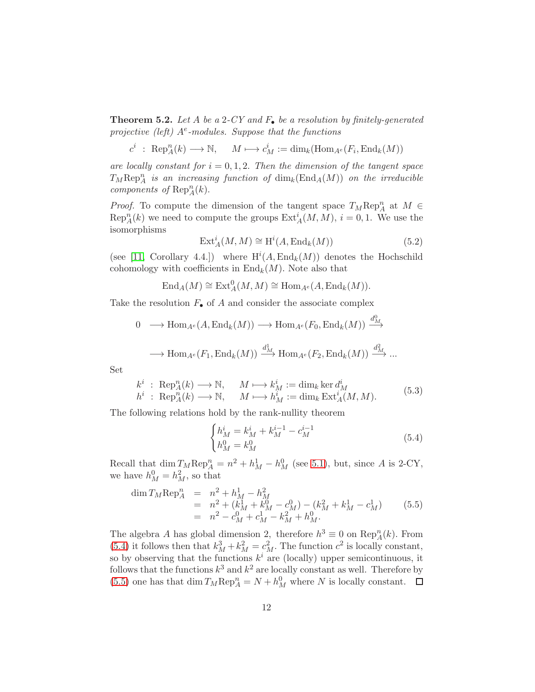<span id="page-11-0"></span>**Theorem 5.2.** Let A be a 2-CY and  $F_{\bullet}$  be a resolution by finitely-generated projective (left)  $A^e$ -modules. Suppose that the functions

 $c^i$  : Rep<sub>A</sub><sup> $n(k) \longrightarrow \mathbb{N}$ ,  $M \longmapsto c_M^i := \dim_k(\text{Hom}_{A^e}(F_i, \text{End}_k(M)))$ </sup>

are locally constant for  $i = 0, 1, 2$ . Then the dimension of the tangent space  $T_M \text{Rep}_A^n$  is an increasing function of  $\dim_k(\text{End}_A(M))$  on the irreducible components of  $\text{Rep}_A^n(k)$ .

*Proof.* To compute the dimension of the tangent space  $T_M \text{Rep}_A^n$  at  $M \in$  $\text{Rep}_A^n(k)$  we need to compute the groups  $\text{Ext}_A^i(M, M)$ ,  $i = 0, 1$ . We use the isomorphisms

$$
\operatorname{Ext}_{A}^{i}(M, M) \cong \operatorname{H}^{i}(A, \operatorname{End}_{k}(M))
$$
\n(5.2)

0

(see [\[11,](#page-29-11) Corollary 4.4.]) where  $H^{i}(A, \text{End}_{k}(M))$  denotes the Hochschild cohomology with coefficients in  $\text{End}_k(M)$ . Note also that

$$
\text{End}_{A}(M) \cong \text{Ext}_{A}^{0}(M, M) \cong \text{Hom}_{A^{e}}(A, \text{End}_{k}(M)).
$$

Take the resolution  $F_{\bullet}$  of A and consider the associate complex

$$
0 \longrightarrow \text{Hom}_{A^e}(A, \text{End}_k(M)) \longrightarrow \text{Hom}_{A^e}(F_0, \text{End}_k(M)) \xrightarrow{d_M^0} \longrightarrow
$$
  

$$
\longrightarrow \text{Hom}_{A^e}(F_1, \text{End}_k(M)) \xrightarrow{d_M^1} \text{Hom}_{A^e}(F_2, \text{End}_k(M)) \xrightarrow{d_M^2} \dots
$$

Set

<span id="page-11-3"></span>
$$
k^{i}: \operatorname{Rep}_{A}^{n}(k) \longrightarrow \mathbb{N}, \qquad M \longmapsto k_{M}^{i} := \dim_{k} \ker d_{M}^{i}
$$
  
\n
$$
h^{i}: \operatorname{Rep}_{A}^{n}(k) \longrightarrow \mathbb{N}, \qquad M \longmapsto h_{M}^{i} := \dim_{k} \operatorname{Ext}_{A}^{i}(M, M).
$$
 (5.3)

The following relations hold by the rank-nullity theorem

<span id="page-11-1"></span>
$$
\begin{cases}\nh_M^i = k_M^i + k_M^{i-1} - c_M^{i-1} \\
h_M^0 = k_M^0\n\end{cases} \tag{5.4}
$$

Recall that  $\dim_{M}^{T} \text{Rep}_{A}^{n} = n^{2} + h_{M}^{1} - h_{M}^{0}$  (see [5.1\)](#page-10-1), but, since A is 2-CY, we have  $h_M^0 = h_M^2$ , so that

<span id="page-11-2"></span>
$$
\dim T_M \text{Rep}_A^n = n^2 + h_M^1 - h_M^2
$$
  
=  $n^2 + (k_M^1 + k_M^0 - c_M^0) - (k_M^2 + k_M^1 - c_M^1)$  (5.5)  
=  $n^2 - c_M^0 + c_M^1 - k_M^2 + h_M^0$ .

The algebra A has global dimension 2, therefore  $h^3 \equiv 0$  on  $\text{Rep}_A^n(k)$ . From [\(5.4\)](#page-11-1) it follows then that  $k_M^3 + k_M^2 = c_M^2$ . The function  $c^2$  is locally constant, so by observing that the functions  $k^i$  are (locally) upper semicontinuous, it follows that the functions  $k^3$  and  $k^2$  are locally constant as well. Therefore by [\(5.5\)](#page-11-2) one has that  $\dim T_M \text{Rep}_A^n = N + h_M^0$  where N is locally constant.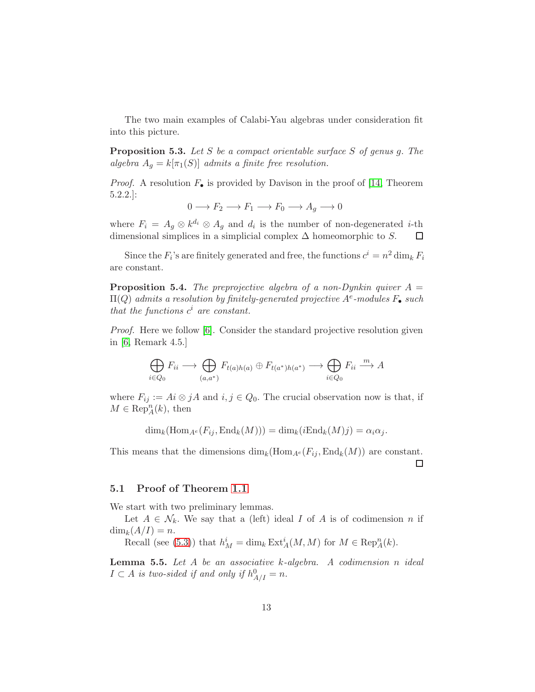The two main examples of Calabi-Yau algebras under consideration fit into this picture.

**Proposition 5.3.** Let S be a compact orientable surface S of genus g. The algebra  $A_g = k[\pi_1(S)]$  admits a finite free resolution.

*Proof.* A resolution  $F_{\bullet}$  is provided by Davison in the proof of [\[14,](#page-29-3) Theorem 5.2.2.]:

$$
0 \longrightarrow F_2 \longrightarrow F_1 \longrightarrow F_0 \longrightarrow A_g \longrightarrow 0
$$

where  $F_i = A_g \otimes k^{d_i} \otimes A_g$  and  $d_i$  is the number of non-degenerated *i*-th dimensional simplices in a simplicial complex  $\Delta$  homeomorphic to S.  $\Box$ 

Since the  $F_i$ 's are finitely generated and free, the functions  $c^i = n^2 \dim_k F_i$ are constant.

**Proposition 5.4.** The preprojective algebra of a non-Dynkin quiver  $A =$  $\Pi(Q)$  admits a resolution by finitely-generated projective  $A^e$ -modules  $F_\bullet$  such that the functions  $c^i$  are constant.

Proof. Here we follow [\[6\]](#page-29-1). Consider the standard projective resolution given in [\[6,](#page-29-1) Remark 4.5.]

$$
\bigoplus_{i\in Q_0} F_{ii} \longrightarrow \bigoplus_{(a,a^*)} F_{t(a)h(a)} \oplus F_{t(a^*)h(a^*)} \longrightarrow \bigoplus_{i\in Q_0} F_{ii} \stackrel{m}{\longrightarrow} A
$$

where  $F_{ij} := Ai \otimes jA$  and  $i, j \in Q_0$ . The crucial observation now is that, if  $M \in \text{Rep}_A^n(k)$ , then

 $\dim_k(\text{Hom}_{A^e}(F_{ii}, \text{End}_k(M))) = \dim_k(i\text{End}_k(M)j) = \alpha_i\alpha_j.$ 

This means that the dimensions  $\dim_k(\text{Hom}_{A^e}(F_{ij}, \text{End}_k(M))$  are constant. □

### 5.1 Proof of Theorem [1.1](#page-1-0)

We start with two preliminary lemmas.

Let  $A \in \mathcal{N}_k$ . We say that a (left) ideal I of A is of codimension n if  $\dim_k(A/I) = n.$ 

Recall (see [\(5.3\)](#page-11-3)) that  $h_M^i = \dim_k \operatorname{Ext}_A^i(M, M)$  for  $M \in \operatorname{Rep}_A^n(k)$ .

<span id="page-12-0"></span>**Lemma 5.5.** Let  $A$  be an associative  $k$ -algebra. A codimension n ideal  $I \subset A$  is two-sided if and only if  $h_{A/I}^0 = n$ .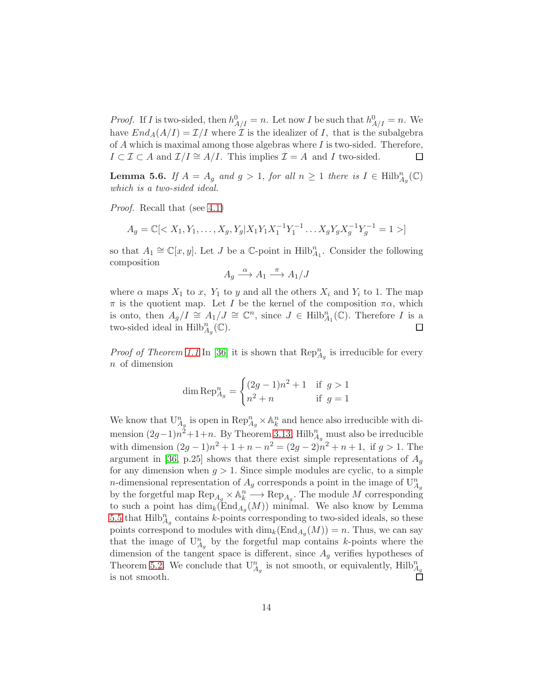*Proof.* If *I* is two-sided, then  $h_{A/I}^0 = n$ . Let now *I* be such that  $h_{A/I}^0 = n$ . We have  $End_A(A/I) = \mathcal{I}/I$  where  $\mathcal I$  is the idealizer of I, that is the subalgebra of  $A$  which is maximal among those algebras where  $I$  is two-sided. Therefore,  $I \subset \mathcal{I} \subset A$  and  $\mathcal{I}/I \cong A/I$ . This implies  $\mathcal{I} = A$  and I two-sided.  $\Box$ 

**Lemma 5.6.** If  $A = A_g$  and  $g > 1$ , for all  $n \geq 1$  there is  $I \in \text{Hilb}_{A_g}^n(\mathbb{C})$ which is a two-sided ideal.

Proof. Recall that (see [4.1\)](#page-9-0)

$$
A_g = \mathbb{C}[\langle X_1, Y_1, \dots, X_g, Y_g | X_1 Y_1 X_1^{-1} Y_1^{-1} \dots X_g Y_g X_g^{-1} Y_g^{-1} = 1 \rangle]
$$

so that  $A_1 \cong \mathbb{C}[x, y]$ . Let J be a  $\mathbb{C}$ -point in  $\text{Hilb}_{A_1}^n$ . Consider the following composition

$$
A_g \xrightarrow{\alpha} A_1 \xrightarrow{\pi} A_1/J
$$

where  $\alpha$  maps  $X_1$  to x,  $Y_1$  to y and all the others  $X_i$  and  $Y_i$  to 1. The map  $\pi$  is the quotient map. Let I be the kernel of the composition  $\pi \alpha$ , which is onto, then  $A_g/I \cong A_1/J \cong \mathbb{C}^n$ , since  $J \in \text{Hilb}^n_{A_1}(\mathbb{C})$ . Therefore I is a two-sided ideal in  $\mathrm{Hilb}_{A_g}^n(\mathbb{C})$ . □

*Proof of Theorem [1.1](#page-1-0)* In [\[36\]](#page-31-1) it is shown that  $\text{Rep}_{A_g}^n$  is irreducible for every n of dimension

dim 
$$
\text{Rep}_{A_g}^n = \begin{cases} (2g - 1)n^2 + 1 & \text{if } g > 1 \\ n^2 + n & \text{if } g = 1 \end{cases}
$$

We know that  $U_{A_g}^n$  is open in  $\operatorname{Rep}_{A_g}^n \times \mathbb{A}_k^n$  and hence also irreducible with dimension  $(2g-1)n^2+1+n$ . By Theorem [3.13,](#page-7-0) Hilb $_{A_g}^n$  must also be irreducible with dimension  $(2g-1)n^2 + 1 + n - n^2 = (2g-2)n^2 + n + 1$ , if  $g > 1$ . The argument in [\[36,](#page-31-1) p.25] shows that there exist simple representations of  $A<sub>q</sub>$ for any dimension when  $g > 1$ . Since simple modules are cyclic, to a simple n-dimensional representation of  $A_g$  corresponds a point in the image of  $U_{A_g}^n$ by the forgetful map  $\text{Rep}_{A_g} \times \mathbb{A}_k^n \longrightarrow \text{Rep}_{A_g}$ . The module M corresponding to such a point has  $\dim_k(\text{End}_{A_g}(M))$  minimal. We also know by Lemma [5.5](#page-12-0) that  $\text{Hilb}_{A_g}^n$  contains k-points corresponding to two-sided ideals, so these points correspond to modules with  $\dim_k(\text{End}_{A_g}(M)) = n$ . Thus, we can say that the image of  $U_{A_g}^n$  by the forgetful map contains k-points where the dimension of the tangent space is different, since  $A<sub>g</sub>$  verifies hypotheses of Theorem [5.2.](#page-11-0) We conclude that  $U_{A_g}^n$  is not smooth, or equivalently,  $Hilb_{A_g}^n$ is not smooth.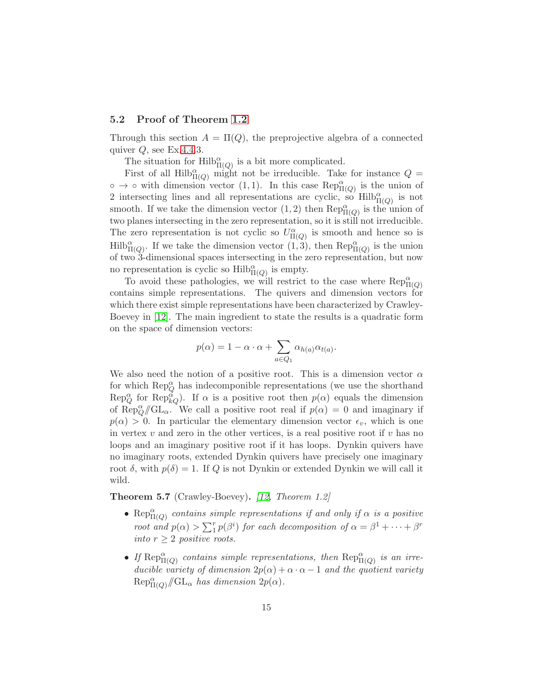### <span id="page-14-0"></span>5.2 Proof of Theorem [1.2](#page-1-1)

Through this section  $A = \Pi(Q)$ , the preprojective algebra of a connected quiver  $Q$ , see Ex[.4.4.](#page-9-1)3.

The situation for  $\mathrm{Hilb}^{\alpha}_{\Pi(Q)}$  is a bit more complicated.

First of all  $\text{Hilb}_{\Pi(Q)}^{\alpha}$  might not be irreducible. Take for instance  $Q =$  $\circ \to \circ$  with dimension vector (1, 1). In this case Rep $_{\Pi(Q)}^{\alpha}$  is the union of 2 intersecting lines and all representations are cyclic, so  $\text{Hilb}_{\Pi(Q)}^{\alpha}$  is not smooth. If we take the dimension vector  $(1, 2)$  then  $\text{Rep}^{\alpha}_{\Pi(Q)}$  is the union of two planes intersecting in the zero representation, so it is still not irreducible. The zero representation is not cyclic so  $U^{\alpha}_{\Pi(Q)}$  is smooth and hence so is  $\text{Hilb}_{\Pi(Q)}^{\alpha}$ . If we take the dimension vector  $(1, 3)$ , then  $\text{Rep}_{\Pi(Q)}^{\alpha}$  is the union of two 3-dimensional spaces intersecting in the zero representation, but now no representation is cyclic so  $\text{Hilb}_{\Pi(Q)}^{\alpha}$  is empty.

To avoid these pathologies, we will restrict to the case where  $\text{Rep}^{\alpha}_{\Pi(Q)}$ contains simple representations. The quivers and dimension vectors for which there exist simple representations have been characterized by Crawley-Boevey in [\[12\]](#page-29-4). The main ingredient to state the results is a quadratic form on the space of dimension vectors:

$$
p(\alpha) = 1 - \alpha \cdot \alpha + \sum_{a \in Q_1} \alpha_{h(a)} \alpha_{t(a)}.
$$

We also need the notion of a positive root. This is a dimension vector  $\alpha$ for which  $\text{Rep}_Q^{\alpha}$  has indecomponible representations (we use the shorthand  $\text{Rep}_{Q}^{\alpha}$  for  $\text{Rep}_{kQ}^{\alpha}$ . If  $\alpha$  is a positive root then  $p(\alpha)$  equals the dimension of Rep $_{Q}^{\alpha}/\!\!/ \mathrm{GL}_{\alpha}$ . We call a positive root real if  $p(\alpha) = 0$  and imaginary if  $p(\alpha) > 0$ . In particular the elementary dimension vector  $\epsilon_v$ , which is one in vertex  $v$  and zero in the other vertices, is a real positive root if  $v$  has no loops and an imaginary positive root if it has loops. Dynkin quivers have no imaginary roots, extended Dynkin quivers have precisely one imaginary root  $\delta$ , with  $p(\delta) = 1$ . If Q is not Dynkin or extended Dynkin we will call it wild.

<span id="page-14-1"></span>Theorem 5.7 (Crawley-Boevey). [\[12,](#page-29-4) Theorem 1.2]

- Rep $_{\Pi(Q)}^{\alpha}$  contains simple representations if and only if  $\alpha$  is a positive root and  $p(\alpha) > \sum_{i=1}^{r} p(\beta^i)$  for each decomposition of  $\alpha = \beta^1 + \cdots + \beta^r$ into  $r \geq 2$  positive roots.
- If  $\text{Rep}_{\Pi(Q)}^{\alpha}$  contains simple representations, then  $\text{Rep}_{\Pi(Q)}^{\alpha}$  is an irreducible variety of dimension  $2p(\alpha) + \alpha \cdot \alpha - 1$  and the quotient variety  $\text{Rep}_{\Pi(Q)}^{\alpha}/\!\!/ \text{GL}_{\alpha}$  has dimension  $2p(\alpha)$ .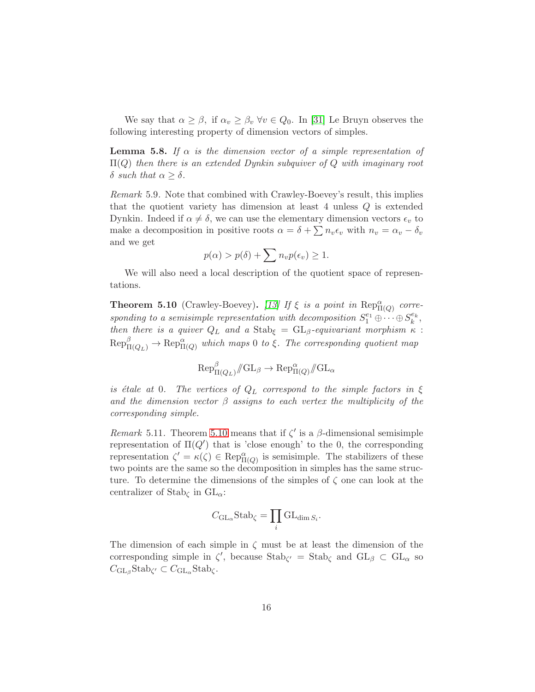We say that  $\alpha \geq \beta$ , if  $\alpha_v \geq \beta_v$   $\forall v \in Q_0$ . In [\[31\]](#page-31-9) Le Bruyn observes the following interesting property of dimension vectors of simples.

<span id="page-15-2"></span>**Lemma 5.8.** If  $\alpha$  is the dimension vector of a simple representation of  $\Pi(Q)$  then there is an extended Dynkin subquiver of Q with imaginary root δ such that  $\alpha \geq \delta$ .

<span id="page-15-1"></span>Remark 5.9. Note that combined with Crawley-Boevey's result, this implies that the quotient variety has dimension at least 4 unless Q is extended Dynkin. Indeed if  $\alpha \neq \delta$ , we can use the elementary dimension vectors  $\epsilon_v$  to make a decomposition in positive roots  $\alpha = \delta + \sum n_v \epsilon_v$  with  $n_v = \alpha_v - \delta_v$ and we get

$$
p(\alpha) > p(\delta) + \sum n_v p(\epsilon_v) \ge 1.
$$

We will also need a local description of the quotient space of representations.

<span id="page-15-0"></span>**Theorem 5.10** (Crawley-Boevey). [\[13\]](#page-29-12) If  $\xi$  is a point in  $\text{Rep}^{\alpha}_{\Pi(Q)}$  corresponding to a semisimple representation with decomposition  $S_1^{e_1} \oplus \cdots \oplus S_k^{e_k}$ , then there is a quiver  $Q_L$  and a  $\text{Stab}_{\xi} = \text{GL}_{\beta}$ -equivariant morphism  $\kappa$ :  $Rep_{\Pi(Q_L)}^{\beta} \to Rep_{\Pi(Q)}^{\alpha}$  which maps 0 to ξ. The corresponding quotient map

$$
\text{Rep}_{\Pi(Q_L)}^{\beta}/\!\!/ \text{GL}_{\beta} \to \text{Rep}_{\Pi(Q)}^{\alpha}/\!\!/ \text{GL}_{\alpha}
$$

is étale at 0. The vertices of  $Q_L$  correspond to the simple factors in ξ and the dimension vector  $\beta$  assigns to each vertex the multiplicity of the corresponding simple.

<span id="page-15-3"></span>Remark 5.11. Theorem [5.10](#page-15-0) means that if  $\zeta'$  is a  $\beta$ -dimensional semisimple representation of  $\Pi(Q')$  that is 'close enough' to the 0, the corresponding representation  $\zeta' = \kappa(\zeta) \in \text{Rep}^{\alpha}_{\Pi(Q)}$  is semisimple. The stabilizers of these two points are the same so the decomposition in simples has the same structure. To determine the dimensions of the simples of  $\zeta$  one can look at the centralizer of Stab<sub> $\zeta$ </sub> in  $GL_{\alpha}$ :

$$
C_{\mathrm{GL}_{\alpha}}\mathrm{Stab}_{\zeta} = \prod_{i} \mathrm{GL}_{\dim S_i}.
$$

The dimension of each simple in  $\zeta$  must be at least the dimension of the corresponding simple in  $\zeta'$ , because  $\text{Stab}_{\zeta'} = \text{Stab}_{\zeta}$  and  $\text{GL}_{\beta} \subset \text{GL}_{\alpha}$  so  $C_{\mathrm{GL}_{\beta}}$ Stab<sub> $\zeta' \subset C_{\mathrm{GL}_{\alpha}}$ Stab<sub> $\zeta$ </sub>.</sub>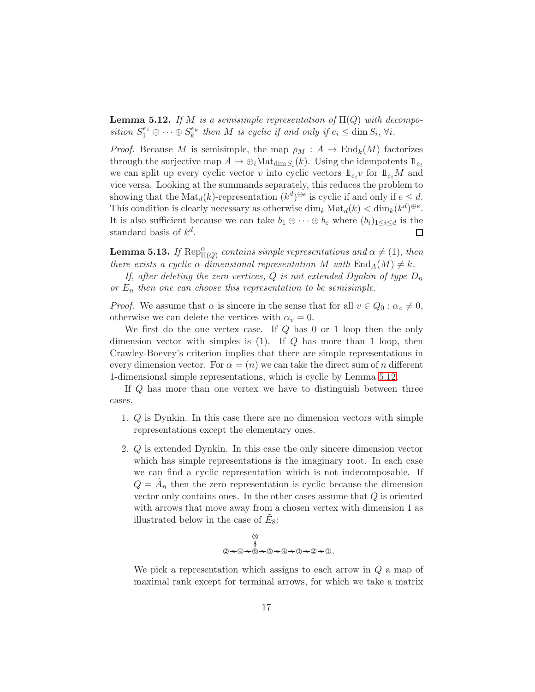<span id="page-16-0"></span>**Lemma 5.12.** If M is a semisimple representation of  $\Pi(Q)$  with decomposition  $S_1^{e_1} \oplus \cdots \oplus S_k^{e_k}$  then M is cyclic if and only if  $e_i \leq \dim S_i$ ,  $\forall i$ .

*Proof.* Because M is semisimple, the map  $\rho_M : A \to \text{End}_k(M)$  factorizes through the surjective map  $A \to \bigoplus_i \text{Mat}_{\dim S_i}(k)$ . Using the idempotents  $1\!\!1_{e_i}$ we can split up every cyclic vector v into cyclic vectors  $\mathbb{1}_{e_i}v$  for  $\mathbb{1}_{e_i}M$  and vice versa. Looking at the summands separately, this reduces the problem to showing that the  $\text{Mat}_d(k)$ -representation  $(k^d)^{\oplus e}$  is cyclic if and only if  $e \leq d$ . This condition is clearly necessary as otherwise  $\dim_k \text{Mat}_d(k) < \dim_k (k^d)^{\oplus e}$ . It is also sufficient because we can take  $b_1 \oplus \cdots \oplus b_e$  where  $(b_i)_{1 \leq i \leq d}$  is the standard basis of  $k^d$ . П

<span id="page-16-1"></span>**Lemma 5.13.** If  $\text{Rep}_{\Pi(Q)}^{\alpha}$  contains simple representations and  $\alpha \neq (1)$ , then there exists a cyclic  $\alpha$ -dimensional representation M with  $\text{End}_A(M) \neq k$ .

If, after deleting the zero vertices, Q is not extended Dynkin of type  $D_n$ or  $E_n$  then one can choose this representation to be semisimple.

*Proof.* We assume that  $\alpha$  is sincere in the sense that for all  $v \in Q_0 : \alpha_v \neq 0$ , otherwise we can delete the vertices with  $\alpha_v = 0$ .

We first do the one vertex case. If Q has 0 or 1 loop then the only dimension vector with simples is  $(1)$ . If Q has more than 1 loop, then Crawley-Boevey's criterion implies that there are simple representations in every dimension vector. For  $\alpha = (n)$  we can take the direct sum of n different 1-dimensional simple representations, which is cyclic by Lemma [5.12.](#page-16-0)

If Q has more than one vertex we have to distinguish between three cases.

- 1. Q is Dynkin. In this case there are no dimension vectors with simple representations except the elementary ones.
- 2. Q is extended Dynkin. In this case the only sincere dimension vector which has simple representations is the imaginary root. In each case we can find a cyclic representation which is not indecomposable. If  $Q = \tilde{A}_n$  then the zero representation is cyclic because the dimension vector only contains ones. In the other cases assume that  $Q$  is oriented with arrows that move away from a chosen vertex with dimension 1 as illustrated below in the case of  $\tilde{E}_8$ :

$$
\begin{array}{c}\n @. & \\
 @. & \\
 @. & \downarrow \\
 @. & \downarrow \\
 @. & \downarrow \\
 @. & \downarrow \\
 @. & \downarrow \\
 @. & \downarrow \\
 @. & \downarrow \\
 @. & \downarrow \\
 @. & \downarrow \\
 @. & \downarrow \\
 @. & \downarrow \\
 @. & \downarrow \\
 @. & \downarrow \\
 @. & \downarrow \\
 @. & \downarrow \\
 @. & \downarrow \\
 @. & \downarrow \\
 @. & \downarrow \\
 @. & \downarrow \\
 @. & \downarrow \\
 @. & \downarrow \\
 @. & \downarrow \\
 @. & \downarrow \\
 @. & \downarrow \\
 @. & \downarrow \\
 @. & \downarrow \\
 @. & \downarrow \\
 @. & \downarrow \\
 @. & \downarrow \\
 @. & \downarrow \\
 @. & \downarrow \\
 @. & \downarrow \\
 @. & \downarrow \\
 @. & \downarrow \\
 @. & \downarrow \\
 @. & \downarrow \\
 @. & \downarrow \\
 @. & \downarrow \\
 @. & \downarrow \\
 @. & \downarrow \\
 @. & \downarrow \\
 @. & \downarrow \\
 @. & \downarrow \\
 @. & \downarrow \\
 @. & \downarrow \\
 @. & \downarrow \\
 @. & \downarrow \\
 @. & \downarrow \\
 @. & \downarrow \\
 @. & \downarrow \\
 @. & \downarrow \\
 @. & \downarrow \\
 @. & \downarrow \\
 @. & \downarrow \\
 @. & \downarrow \\
 @. & \downarrow \\
 @. & \downarrow \\
 @. & \downarrow \\
 @. & \downarrow \\
 @. & \downarrow \\
 @. & \downarrow \\
 @. & \downarrow \\
 @. & \downarrow \\
 @. & \downarrow \\
 @. & \downarrow \\
 @. & \downarrow \\
 @. & \downarrow \\
 @. & \downarrow \\
 @. & \downarrow \\
 @. & \downarrow \\
 @. & \downarrow \\
 @. & \downarrow \\
 @. & \downarrow \\
 @. & \downarrow \\
 @. & \downarrow \\
 @. & \downarrow \\
 @. & \downarrow \\
 @. & \downarrow \\
 @. & \downarrow \\
 @. & \downarrow \\
 @. & \downarrow \\
 @. & \downarrow \\
 @. & \downarrow \\
 @. & \downarrow \\
 @. & \downarrow \\
 @. & \downarrow \\
 @. & \downarrow \\
 @. & \downarrow \\
 @. & \downarrow \\
 @. & \downarrow \\
 @. & \downarrow \\
 @. & \downarrow \\
 @. & \downarrow \\
 @. & \downarrow \\
 @. & \downarrow \\
 @. & \downarrow \\
 @. & \downarrow \\
 @. & \downarrow \\
 @. & \downarrow \\
 @. & \downarrow \\
 @. & \downarrow \\
 @. & \downarrow \\
 @. & \downarrow \\
 @. & \downarrow \\
 @. & \downarrow \\
 @. & \downarrow \\
 @.
$$

We pick a representation which assigns to each arrow in  $Q$  a map of maximal rank except for terminal arrows, for which we take a matrix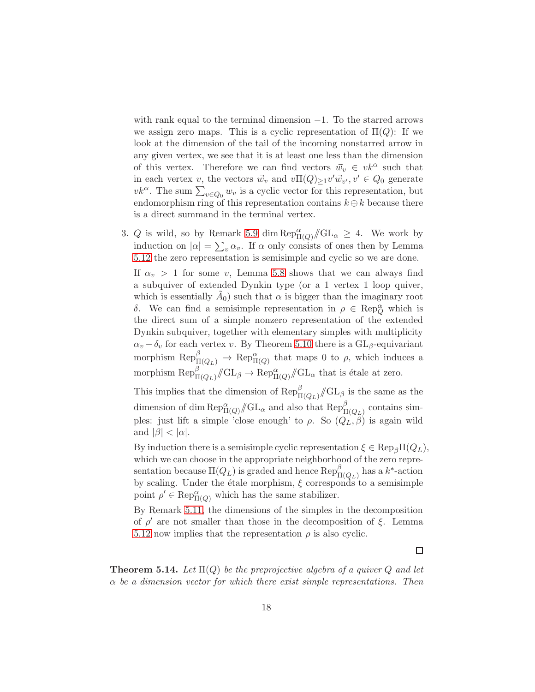with rank equal to the terminal dimension  $-1$ . To the starred arrows we assign zero maps. This is a cyclic representation of  $\Pi(Q)$ : If we look at the dimension of the tail of the incoming nonstarred arrow in any given vertex, we see that it is at least one less than the dimension of this vertex. Therefore we can find vectors  $\vec{w}_v \in v \vec{k}^\alpha$  such that in each vertex v, the vectors  $\vec{w}_v$  and  $v\Pi(Q)_{\geq 1}v'\vec{w}_{v'}, v' \in Q_0$  generate  $vk^{\alpha}$ . The sum  $\sum_{v \in Q_0} w_v$  is a cyclic vector for this representation, but endomorphism ring of this representation contains  $k \oplus k$  because there is a direct summand in the terminal vertex.

3. Q is wild, so by Remark [5.9](#page-15-1) dim  $\text{Rep}_{\Pi(Q)}^{\alpha}/\!\!/ \text{GL}_{\alpha} \geq 4$ . We work by induction on  $|\alpha| = \sum_{v} \alpha_v$ . If  $\alpha$  only consists of ones then by Lemma [5.12](#page-16-0) the zero representation is semisimple and cyclic so we are done.

If  $\alpha_v > 1$  for some v, Lemma [5.8](#page-15-2) shows that we can always find a subquiver of extended Dynkin type (or a 1 vertex 1 loop quiver, which is essentially  $\tilde{A}_0$ ) such that  $\alpha$  is bigger than the imaginary root δ. We can find a semisimple representation in  $\rho \in \text{Rep}_{Q}^{\alpha}$  which is the direct sum of a simple nonzero representation of the extended Dynkin subquiver, together with elementary simples with multiplicity  $\alpha_v - \delta_v$  for each vertex v. By Theorem [5.10](#page-15-0) there is a  $GL_\beta$ -equivariant morphism  $\operatorname{Rep}^{\beta}_{\Pi(Q_L)} \to \operatorname{Rep}^{\alpha}_{\Pi(Q)}$  that maps 0 to  $\rho$ , which induces a morphism  $\operatorname{Rep}^{\beta}_{\Pi(Q_L)} \llcorner \text{GL}_{\beta} \to \operatorname{Rep}^{\alpha}_{\Pi(Q)} \llcorner \text{GL}_{\alpha}$  that is étale at zero.

This implies that the dimension of  $\text{Rep}^{\beta}_{\Pi(Q_L)}/\!\!/ \text{GL}_{\beta}$  is the same as the dimension of dim  $\text{Rep}^{\alpha}_{\Pi(Q)}/\!\!/ \text{GL}_{\alpha}$  and also that  $\text{Rep}^{\beta}_{\Pi(Q_L)}$  contains simples: just lift a simple 'close enough' to  $\rho$ . So  $(Q_L, \beta)$  is again wild and  $|\beta| < |\alpha|$ .

By induction there is a semisimple cyclic representation  $\xi \in \text{Rep}_{\beta} \Pi(Q_L)$ , which we can choose in the appropriate neighborhood of the zero representation because  $\Pi(Q_L)$  is graded and hence  $\operatorname{Rep}^{\beta}_{\Pi(Q_L)}$  has a  $k^*$ -action by scaling. Under the étale morphism,  $\xi$  corresponds to a semisimple point  $\rho' \in \text{Rep}^{\alpha}_{\Pi(Q)}$  which has the same stabilizer.

By Remark [5.11,](#page-15-3) the dimensions of the simples in the decomposition of  $\rho'$  are not smaller than those in the decomposition of  $\xi$ . Lemma [5.12](#page-16-0) now implies that the representation  $\rho$  is also cyclic.

 $\Box$ 

**Theorem 5.14.** Let  $\Pi(Q)$  be the preprojective algebra of a quiver Q and let  $\alpha$  be a dimension vector for which there exist simple representations. Then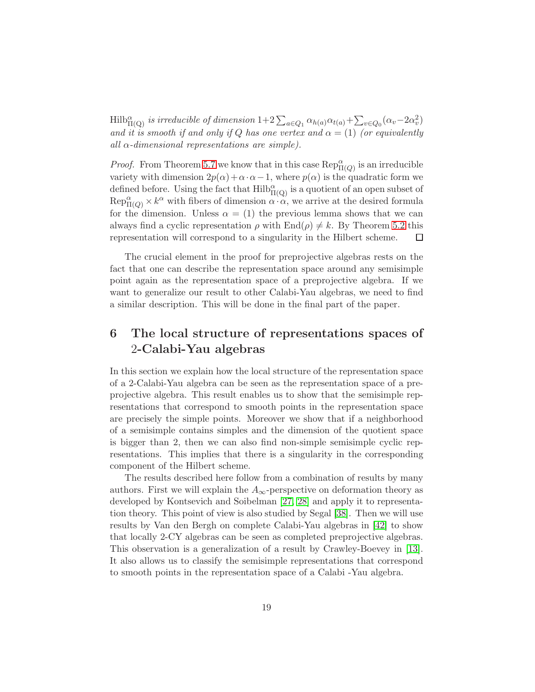$\text{Hilb}_{\Pi(Q)}^{\alpha}$  is irreducible of dimension  $1+2\sum_{a\in Q_1}\alpha_{h(a)}\alpha_{t(a)}+\sum_{v\in Q_0}(\alpha_v-2\alpha_v^2)$ and it is smooth if and only if Q has one vertex and  $\alpha = (1)$  (or equivalently all  $\alpha$ -dimensional representations are simple).

*Proof.* From Theorem [5.7](#page-14-1) we know that in this case  $\text{Rep}_{\Pi(Q)}^{\alpha}$  is an irreducible variety with dimension  $2p(\alpha)+\alpha\cdot\alpha-1$ , where  $p(\alpha)$  is the quadratic form we defined before. Using the fact that  $\mathrm{Hilb}^\alpha_{\Pi(Q)}$  is a quotient of an open subset of  $\text{Rep}_{\Pi(Q)}^{\alpha} \times k^{\alpha}$  with fibers of dimension  $\alpha \cdot \alpha$ , we arrive at the desired formula for the dimension. Unless  $\alpha = (1)$  the previous lemma shows that we can always find a cyclic representation  $\rho$  with  $\text{End}(\rho) \neq k$ . By Theorem [5.2](#page-11-0) this representation will correspond to a singularity in the Hilbert scheme. □

The crucial element in the proof for preprojective algebras rests on the fact that one can describe the representation space around any semisimple point again as the representation space of a preprojective algebra. If we want to generalize our result to other Calabi-Yau algebras, we need to find a similar description. This will be done in the final part of the paper.

# <span id="page-18-0"></span>6 The local structure of representations spaces of 2-Calabi-Yau algebras

In this section we explain how the local structure of the representation space of a 2-Calabi-Yau algebra can be seen as the representation space of a preprojective algebra. This result enables us to show that the semisimple representations that correspond to smooth points in the representation space are precisely the simple points. Moreover we show that if a neighborhood of a semisimple contains simples and the dimension of the quotient space is bigger than 2, then we can also find non-simple semisimple cyclic representations. This implies that there is a singularity in the corresponding component of the Hilbert scheme.

The results described here follow from a combination of results by many authors. First we will explain the  $A_{\infty}$ -perspective on deformation theory as developed by Kontsevich and Soibelman [\[27,](#page-30-11) [28\]](#page-31-10) and apply it to representation theory. This point of view is also studied by Segal [\[38\]](#page-31-11). Then we will use results by Van den Bergh on complete Calabi-Yau algebras in [\[42\]](#page-32-0) to show that locally 2-CY algebras can be seen as completed preprojective algebras. This observation is a generalization of a result by Crawley-Boevey in [\[13\]](#page-29-12). It also allows us to classify the semisimple representations that correspond to smooth points in the representation space of a Calabi -Yau algebra.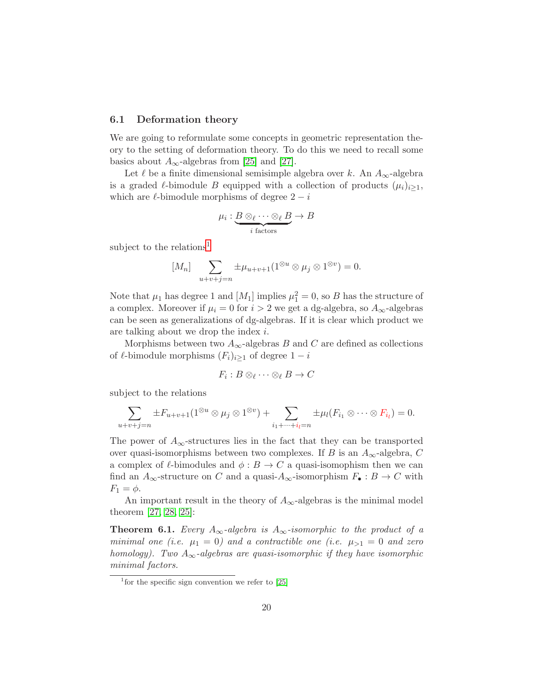### 6.1 Deformation theory

We are going to reformulate some concepts in geometric representation theory to the setting of deformation theory. To do this we need to recall some basics about  $A_{\infty}$ -algebras from [\[25\]](#page-30-12) and [\[27\]](#page-30-11).

Let  $\ell$  be a finite dimensional semisimple algebra over k. An  $A_{\infty}$ -algebra is a graded  $\ell$ -bimodule B equipped with a collection of products  $(\mu_i)_{i>1}$ , which are  $\ell$ -bimodule morphisms of degree  $2 - i$ 

$$
\mu_i: \underbrace{B \otimes_{\ell} \cdots \otimes_{\ell} B}_{i \text{ factors}} \to B
$$

subject to the relations<sup>[1](#page-19-0)</sup>

$$
[M_n] \sum_{u+v+j=n} \pm \mu_{u+v+1}(1^{\otimes u} \otimes \mu_j \otimes 1^{\otimes v}) = 0.
$$

Note that  $\mu_1$  has degree 1 and  $[M_1]$  implies  $\mu_1^2 = 0$ , so B has the structure of a complex. Moreover if  $\mu_i = 0$  for  $i > 2$  we get a dg-algebra, so  $A_{\infty}$ -algebras can be seen as generalizations of dg-algebras. If it is clear which product we are talking about we drop the index i.

Morphisms between two  $A_{\infty}$ -algebras B and C are defined as collections of  $\ell$ -bimodule morphisms  $(F_i)_{i\geq 1}$  of degree  $1-i$ 

$$
F_i:B\otimes_{\ell}\cdots\otimes_{\ell}B\to C
$$

subject to the relations

$$
\sum_{u+v+j=n} \pm F_{u+v+1}(1^{\otimes u} \otimes \mu_j \otimes 1^{\otimes v}) + \sum_{i_1+\cdots+i_l=n} \pm \mu_l(F_{i_1} \otimes \cdots \otimes F_{i_l}) = 0.
$$

The power of  $A_{\infty}$ -structures lies in the fact that they can be transported over quasi-isomorphisms between two complexes. If B is an  $A_{\infty}$ -algebra, C a complex of  $\ell$ -bimodules and  $\phi : B \to C$  a quasi-isomophism then we can find an  $A_{\infty}$ -structure on C and a quasi- $A_{\infty}$ -isomorphism  $F_{\bullet}: B \to C$  with  $F_1 = \phi$ .

An important result in the theory of  $A_{\infty}$ -algebras is the minimal model theorem [\[27,](#page-30-11) [28,](#page-31-10) [25\]](#page-30-12):

**Theorem 6.1.** Every  $A_{\infty}$ -algebra is  $A_{\infty}$ -isomorphic to the product of a minimal one (i.e.  $\mu_1 = 0$ ) and a contractible one (i.e.  $\mu_{>1} = 0$  and zero homology). Two  $A_{\infty}$ -algebras are quasi-isomorphic if they have isomorphic minimal factors.

<span id="page-19-0"></span><sup>&</sup>lt;sup>1</sup> for the specific sign convention we refer to [\[25\]](#page-30-12)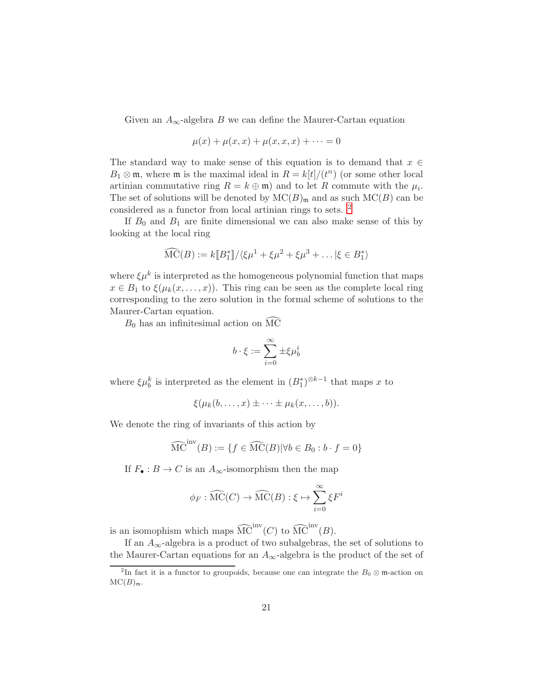Given an  $A_{\infty}$ -algebra B we can define the Maurer-Cartan equation

$$
\mu(x) + \mu(x, x) + \mu(x, x, x) + \dots = 0
$$

The standard way to make sense of this equation is to demand that  $x \in$  $B_1 \otimes \mathfrak{m}$ , where  $\mathfrak{m}$  is the maximal ideal in  $R = k[t]/(t^n)$  (or some other local artinian commutative ring  $R = k \oplus \mathfrak{m}$  and to let R commute with the  $\mu_i$ . The set of solutions will be denoted by  $MC(B)_{m}$  and as such  $MC(B)$  can be considered as a functor from local artinian rings to sets. [2](#page-20-0)

If  $B_0$  and  $B_1$  are finite dimensional we can also make sense of this by looking at the local ring

$$
\widehat{\mathrm{MC}}(B) := k[\![B_1^*]\!]/\langle \xi \mu^1 + \xi \mu^2 + \xi \mu^3 + \dots | \xi \in B_1^* \rangle
$$

where  $\xi \mu^k$  is interpreted as the homogeneous polynomial function that maps  $x \in B_1$  to  $\xi(\mu_k(x,\ldots,x))$ . This ring can be seen as the complete local ring corresponding to the zero solution in the formal scheme of solutions to the Maurer-Cartan equation.

 $B_0$  has an infinitesimal action on  $\overrightarrow{MC}$ 

$$
b\cdot \xi:=\sum_{i=0}^\infty \pm \xi \mu_b^i
$$

where  $\xi \mu_b^k$  is interpreted as the element in  $(B_1^*)^{\otimes k-1}$  that maps x to

$$
\xi(\mu_k(b,\ldots,x)\pm\cdots\pm\mu_k(x,\ldots,b)).
$$

We denote the ring of invariants of this action by

$$
\widehat{\mathrm{MC}}^{\mathrm{inv}}(B) := \{ f \in \widehat{\mathrm{MC}}(B) | \forall b \in B_0 : b \cdot f = 0 \}
$$

If  $F_{\bullet}: B \to C$  is an  $A_{\infty}$ -isomorphism then the map

$$
\phi_F : \widehat{\mathrm{MC}}(C) \to \widehat{\mathrm{MC}}(B) : \xi \mapsto \sum_{i=0}^{\infty} \xi F^i
$$

is an isomophism which maps  $\widehat{\mathrm{MC}}^{\mathrm{inv}}(C)$  to  $\widehat{\mathrm{MC}}^{\mathrm{inv}}(B)$ .

If an  $A_{\infty}$ -algebra is a product of two subalgebras, the set of solutions to the Maurer-Cartan equations for an  $A_{\infty}$ -algebra is the product of the set of

<span id="page-20-0"></span><sup>&</sup>lt;sup>2</sup>In fact it is a functor to groupoids, because one can integrate the  $B_0 \otimes \mathfrak{m}$ -action on  $MC(B)_{m}.$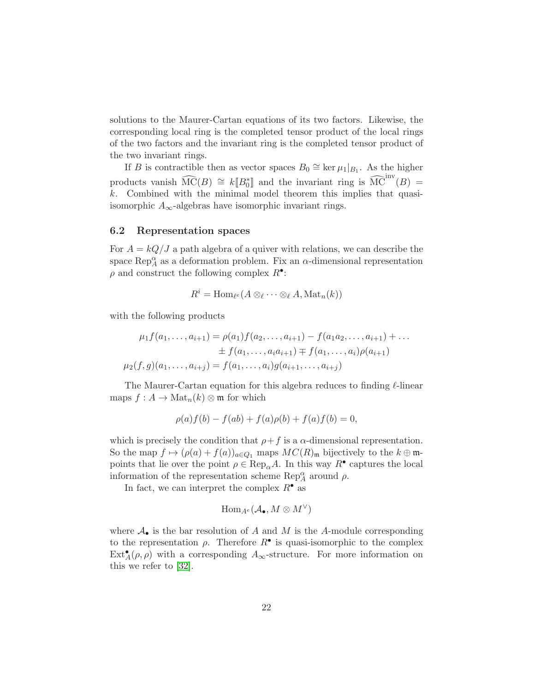solutions to the Maurer-Cartan equations of its two factors. Likewise, the corresponding local ring is the completed tensor product of the local rings of the two factors and the invariant ring is the completed tensor product of the two invariant rings.

If B is contractible then as vector spaces  $B_0 \cong \ker \mu_1|_{B_1}$ . As the higher products vanish  $\widehat{\mathrm{MC}}(B) \cong k[\![B_0^*]\!]$  and the invariant ring is  $\widehat{\mathrm{MC}}^{\mathrm{inv}}(B) =$ k. Combined with the minimal model theorem this implies that quasiisomorphic  $A_{\infty}$ -algebras have isomorphic invariant rings.

### 6.2 Representation spaces

For  $A = kQ/J$  a path algebra of a quiver with relations, we can describe the space  $\operatorname{Rep}_A^{\alpha}$  as a deformation problem. Fix an  $\alpha$ -dimensional representation  $\rho$  and construct the following complex  $R^{\bullet}$ :

$$
R^i = \operatorname{Hom}_{\ell^e}(A \otimes_{\ell} \cdots \otimes_{\ell} A, \operatorname{Mat}_n(k))
$$

with the following products

$$
\mu_1 f(a_1, \ldots, a_{i+1}) = \rho(a_1) f(a_2, \ldots, a_{i+1}) - f(a_1 a_2, \ldots, a_{i+1}) + \ldots
$$
  
\n
$$
\pm f(a_1, \ldots, a_i a_{i+1}) \mp f(a_1, \ldots, a_i) \rho(a_{i+1})
$$
  
\n
$$
\mu_2(f, g)(a_1, \ldots, a_{i+j}) = f(a_1, \ldots, a_i) g(a_{i+1}, \ldots, a_{i+j})
$$

The Maurer-Cartan equation for this algebra reduces to finding ℓ-linear maps  $f : A \to \mathrm{Mat}_n(k) \otimes \mathfrak{m}$  for which

$$
\rho(a)f(b) - f(ab) + f(a)\rho(b) + f(a)f(b) = 0,
$$

which is precisely the condition that  $\rho + f$  is a  $\alpha$ -dimensional representation. So the map  $f \mapsto (\rho(a) + f(a))_{a \in Q_1}$  maps  $MC(R)_{\mathfrak{m}}$  bijectively to the  $k \oplus \mathfrak{m}$ points that lie over the point  $\rho \in \text{Rep}_{\alpha}A$ . In this way  $R^{\bullet}$  captures the local information of the representation scheme  $\operatorname{Rep}_A^{\alpha}$  around  $\rho$ .

In fact, we can interpret the complex  $R^{\bullet}$  as

$$
\operatorname{Hom}_{A^e}(\mathcal{A}_\bullet, M \otimes M^\vee)
$$

where  $A_{\bullet}$  is the bar resolution of A and M is the A-module corresponding to the representation  $\rho$ . Therefore  $R^{\bullet}$  is quasi-isomorphic to the complex  $\text{Ext}_{A}^{\bullet}(\rho, \rho)$  with a corresponding  $A_{\infty}$ -structure. For more information on this we refer to [\[32\]](#page-31-12).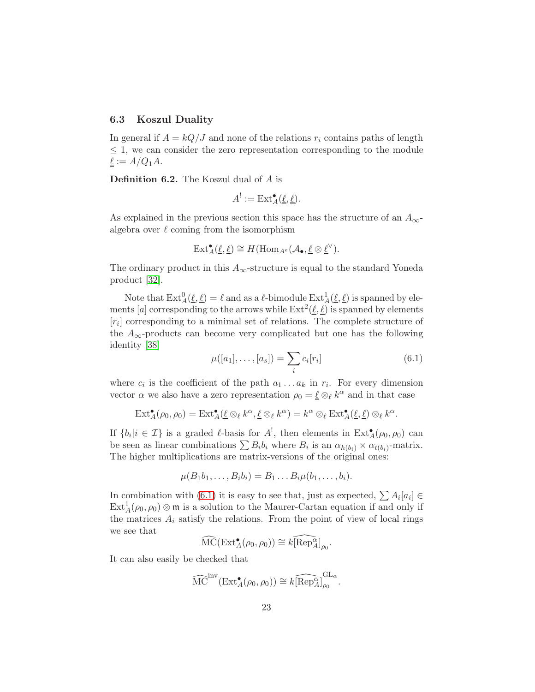### 6.3 Koszul Duality

In general if  $A = kQ/J$  and none of the relations  $r_i$  contains paths of length ≤ 1, we can consider the zero representation corresponding to the module  $\underline{\ell} := A/Q_1 A.$ 

Definition 6.2. The Koszul dual of A is

$$
A^! := \mathrm{Ext}^{\bullet}_A(\underline{\ell}, \underline{\ell}).
$$

As explained in the previous section this space has the structure of an  $A_{\infty}$ algebra over  $\ell$  coming from the isomorphism

$$
\text{Ext}^{\bullet}_{A}(\underline{\ell},\underline{\ell}) \cong H(\text{Hom}_{A^e}(\mathcal{A}_{\bullet},\underline{\ell} \otimes \underline{\ell}^{\vee}).
$$

The ordinary product in this  $A_{\infty}$ -structure is equal to the standard Yoneda product [\[32\]](#page-31-12).

Note that  $\text{Ext}_{A}^{0}(\underline{\ell}, \underline{\ell}) = \ell$  and as a  $\ell$ -bimodule  $\text{Ext}_{A}^{1}(\underline{\ell}, \underline{\ell})$  is spanned by elements [a] corresponding to the arrows while  $\text{Ext}^2(\underline{\ell}, \underline{\ell})$  is spanned by elements  $[r_i]$  corresponding to a minimal set of relations. The complete structure of the  $A_{\infty}$ -products can become very complicated but one has the following identity [\[38\]](#page-31-11)

<span id="page-22-0"></span>
$$
\mu([a_1], \dots, [a_s]) = \sum_i c_i[r_i]
$$
\n(6.1)

.

where  $c_i$  is the coefficient of the path  $a_1 \ldots a_k$  in  $r_i$ . For every dimension vector  $\alpha$  we also have a zero representation  $\rho_0 = \underline{\ell} \otimes_{\ell} k^{\alpha}$  and in that case

$$
\operatorname{Ext}_{A}^{\bullet}(\rho_{0},\rho_{0})=\operatorname{Ext}_{A}^{\bullet}(\underline{\ell}\otimes_{\ell}k^{\alpha},\underline{\ell}\otimes_{\ell}k^{\alpha})=k^{\alpha}\otimes_{\ell}\operatorname{Ext}_{A}^{\bullet}(\underline{\ell},\underline{\ell})\otimes_{\ell}k^{\alpha}.
$$

If  $\{b_i | i \in \mathcal{I}\}\$ is a graded  $\ell$ -basis for  $A^!$ , then elements in  $\text{Ext}_{A}^{\bullet}(\rho_0, \rho_0)$  can be seen as linear combinations  $\sum B_i b_i$  where  $B_i$  is an  $\alpha_{h(b_i)} \times \alpha_{t(b_i)}$ -matrix. The higher multiplications are matrix-versions of the original ones:

$$
\mu(B_1b_1,\ldots,B_ib_i)=B_1\ldots B_i\mu(b_1,\ldots,b_i).
$$

In combination with [\(6.1\)](#page-22-0) it is easy to see that, just as expected,  $\sum A_i[a_i] \in$  $\text{Ext}_{A}^{1}(\rho_{0}, \rho_{0}) \otimes \mathfrak{m}$  is a solution to the Maurer-Cartan equation if and only if the matrices  $A_i$  satisfy the relations. From the point of view of local rings we see that

$$
\widehat{\mathrm{MC}}(\mathrm{Ext}^{\bullet}_A(\rho_0,\rho_0))\cong k\widehat{[\mathrm{Rep}^{\alpha}_A]}_{\rho_0}
$$

It can also easily be checked that

$$
\widehat{\mathrm{MC}}^{\mathrm{inv}}(\mathrm{Ext}^{\bullet}_{A}(\rho_{0},\rho_{0})) \cong k \widehat{[\mathrm{Rep}_{A}^{\alpha}]}_{\rho_{0}}^{\mathrm{GL}_{\alpha}}.
$$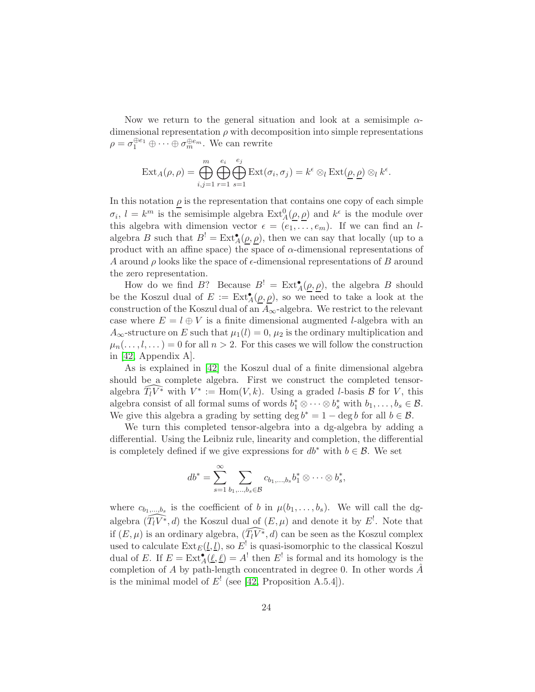Now we return to the general situation and look at a semisimple  $\alpha$ dimensional representation  $\rho$  with decomposition into simple representations  $\rho = \sigma_1^{\oplus e_1} \oplus \cdots \oplus \sigma_m^{\oplus e_m}$ . We can rewrite

$$
\text{Ext}_{A}(\rho,\rho) = \bigoplus_{i,j=1}^{m} \bigoplus_{r=1}^{e_i} \bigoplus_{s=1}^{e_j} \text{Ext}(\sigma_i,\sigma_j) = k^{\epsilon} \otimes_{l} \text{Ext}(\underline{\rho},\underline{\rho}) \otimes_{l} k^{\epsilon}.
$$

In this notation  $\rho$  is the representation that contains one copy of each simple  $\sigma_i$ ,  $l = k^m$  is the semisimple algebra  $\text{Ext}_{A}^0(\underline{\rho}, \underline{\rho})$  and  $k^{\epsilon}$  is the module over this algebra with dimension vector  $\epsilon = (e_1, \ldots, e_m)$ . If we can find an lalgebra B such that  $B^! = \text{Ext}_{A}^{\bullet}(\underline{\rho}, \underline{\rho})$ , then we can say that locally (up to a product with an affine space) the space of  $\alpha$ -dimensional representations of A around  $\rho$  looks like the space of  $\epsilon$ -dimensional representations of B around the zero representation.

How do we find B? Because  $B' = \text{Ext}_{A}^{\bullet}(\underline{\rho}, \underline{\rho})$ , the algebra B should be the Koszul dual of  $E := Ext^{\bullet}_{A}(\underline{\rho}, \underline{\rho})$ , so we need to take a look at the construction of the Koszul dual of an  $A_{\infty}$ -algebra. We restrict to the relevant case where  $E = l \oplus V$  is a finite dimensional augmented *l*-algebra with an  $A_{\infty}$ -structure on E such that  $\mu_1(l) = 0$ ,  $\mu_2$  is the ordinary multiplication and  $\mu_n(\ldots,l,\ldots)=0$  for all  $n>2$ . For this cases we will follow the construction in [\[42,](#page-32-0) Appendix A].

As is explained in [\[42\]](#page-32-0) the Koszul dual of a finite dimensional algebra should be a complete algebra. First we construct the completed tensoralgebra  $\widehat{T_l V^*}$  with  $V^* := \text{Hom}(V, k)$ . Using a graded *l*-basis  $\mathcal B$  for V, this algebra consist of all formal sums of words  $b_1^* \otimes \cdots \otimes b_s^*$  with  $b_1, \ldots, b_s \in \mathcal{B}$ . We give this algebra a grading by setting deg  $b^* = 1 - \deg b$  for all  $b \in \mathcal{B}$ .

We turn this completed tensor-algebra into a dg-algebra by adding a differential. Using the Leibniz rule, linearity and completion, the differential is completely defined if we give expressions for  $db^*$  with  $b \in \mathcal{B}$ . We set

$$
db^* = \sum_{s=1}^{\infty} \sum_{b_1,\dots,b_s \in \mathcal{B}} c_{b_1,\dots,b_s} b_1^* \otimes \dots \otimes b_s^*,
$$

where  $c_{b_1,\dots,b_s}$  is the coefficient of b in  $\mu(b_1,\dots,b_s)$ . We will call the dgalgebra  $(\widehat{T_lV^*}, d)$  the Koszul dual of  $(E, \mu)$  and denote it by  $E^!$ . Note that if  $(E, \mu)$  is an ordinary algebra,  $(\widehat{T_l V^*}, d)$  can be seen as the Koszul complex used to calculate  $\text{Ext}_E(l, l)$ , so  $E^!$  is quasi-isomorphic to the classical Koszul dual of E. If  $E = \text{Ext}_{A}^{\bullet}(\underline{\ell}, \underline{\ell}) = A^{!}$  then  $E^{!}$  is formal and its homology is the completion of A by path-length concentrated in degree 0. In other words  $\hat{A}$ is the minimal model of  $E'$  (see [\[42,](#page-32-0) Proposition A.5.4]).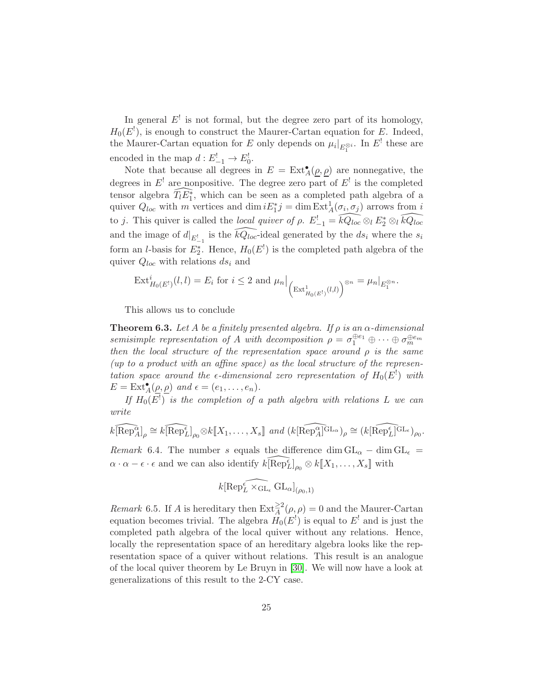In general  $E'$  is not formal, but the degree zero part of its homology,  $H_0(E^!)$ , is enough to construct the Maurer-Cartan equation for E. Indeed, the Maurer-Cartan equation for E only depends on  $\mu_i|_{E_1^{\otimes i}}$ . In E<sup>†</sup> these are encoded in the map  $d: E_{-1}^! \to E_0^!$ .

Note that because all degrees in  $E = \text{Ext}_{A}^{\bullet}(\underline{\rho}, \underline{\rho})$  are nonnegative, the degrees in  $E^!$  are nonpositive. The degree zero part of  $E^!$  is the completed tensor algebra  $\widehat{T_lE_1^*}$ , which can be seen as a completed path algebra of a quiver  $Q_{loc}$  with m vertices and  $\dim iE_1^*j = \dim \text{Ext}^1_A(\sigma_i, \sigma_j)$  arrows from i to j. This quiver is called the local quiver of  $\rho$ .  $E_{-1}^! = \widehat{kQ_{loc}} \otimes_l E_2^* \otimes_l \widehat{kQ_{loc}}$ and the image of  $d|_{E_{-1}^{\dagger}}$  is the  $\widehat{kQ_{loc}}$ -ideal generated by the  $ds_i$  where the  $s_i$ form an *l*-basis for  $E_2^*$ . Hence,  $H_0(E^!)$  is the completed path algebra of the quiver  $Q_{loc}$  with relations  $ds_i$  and

$$
\mathrm{Ext}^i_{H_0(E^!)}(l,l) = E_i \text{ for } i \leq 2 \text{ and } \mu_n \Big|_{\left(\mathrm{Ext}^1_{H_0(E^!)}(l,l)\right)^{\otimes n}} = \mu_n|_{E_1^{\otimes n}}.
$$

This allows us to conclude

<span id="page-24-0"></span>**Theorem 6.3.** Let A be a finitely presented algebra. If  $\rho$  is an  $\alpha$ -dimensional semisimple representation of A with decomposition  $\rho = \sigma_1^{\oplus e_1} \oplus \cdots \oplus \sigma_m^{\oplus e_m}$ then the local structure of the representation space around  $\rho$  is the same (up to a product with an affine space) as the local structure of the representation space around the  $\epsilon$ -dimensional zero representation of  $H_0(E^!)$  with  $E = \text{Ext}_{A}^{\bullet}(\underline{\rho}, \underline{\rho})$  and  $\epsilon = (e_1, \ldots, e_n)$ .

If  $H_0(E^!)$  is the completion of a path algebra with relations L we can write

$$
\widehat{k[\operatorname{Rep}_{A}^{\alpha}]}_{\rho} \cong \widehat{k[\operatorname{Rep}_{L}^{\epsilon}]}_{\rho_0} \otimes k[\![X_1, \ldots, X_s]\!] \ \ \text{and} \ \widehat{k[\operatorname{Rep}_{A}^{\alpha}]^{\operatorname{GL}_{\alpha}}}_{\rho} \cong \widehat{k[\operatorname{Rep}_{L}^{\epsilon}]^{\operatorname{GL}_{\epsilon}}}_{\rho_0}.
$$

*Remark* 6.4. The number s equals the difference dim  $GL_{\alpha}$  – dim  $GL_{\epsilon}$  =  $\alpha \cdot \alpha - \epsilon \cdot \epsilon$  and we can also identify  $k \widehat{[\text{Rep}_L^{\epsilon}]}_{\rho_0} \otimes k[\![X_1, \ldots, X_s]\!]$  with

$$
k[\widehat{\mathrm{Rep}^{\epsilon}_L \times_{\mathrm{GL}_{\epsilon}} \mathrm{GL}_{\alpha}]}_{(\rho_0,1)}
$$

*Remark* 6.5. If A is hereditary then  $\text{Ext}_{A}^{\geq 2}(\rho, \rho) = 0$  and the Maurer-Cartan equation becomes trivial. The algebra  $H_0(E^!)$  is equal to  $E^!$  and is just the completed path algebra of the local quiver without any relations. Hence, locally the representation space of an hereditary algebra looks like the representation space of a quiver without relations. This result is an analogue of the local quiver theorem by Le Bruyn in [\[30\]](#page-31-0). We will now have a look at generalizations of this result to the 2-CY case.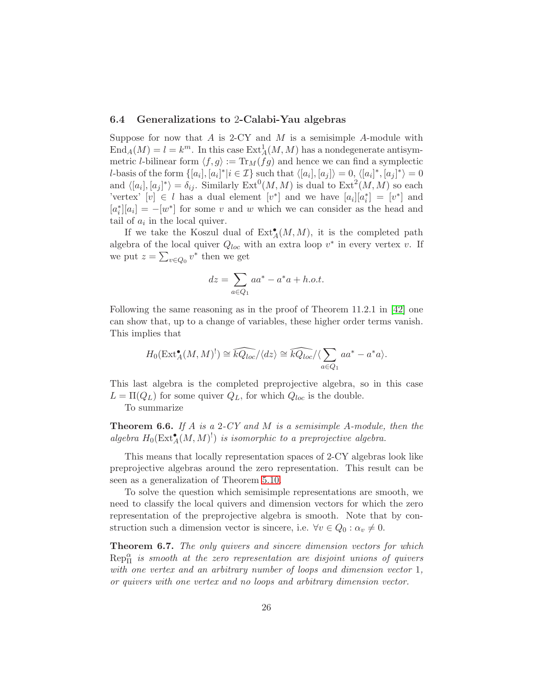### 6.4 Generalizations to 2-Calabi-Yau algebras

Suppose for now that  $A$  is 2-CY and  $M$  is a semisimple  $A$ -module with  $\text{End}_A(M) = l = k^m$ . In this case  $\text{Ext}^1_A(M, M)$  has a nondegenerate antisymmetric *l*-bilinear form  $\langle f, g \rangle := \text{Tr}_M(fg)$  and hence we can find a symplectic *l*-basis of the form  $\{[a_i], [a_i]^* | i \in \mathcal{I}\}$  such that  $\langle [a_i], [a_j] \rangle = 0$ ,  $\langle [a_i]^*, [a_j]^* \rangle = 0$ and  $\langle [a_i], [a_j]^* \rangle = \delta_{ij}$ . Similarly  $\text{Ext}^0(M, M)$  is dual to  $\text{Ext}^2(M, M)$  so each 'vertex'  $[v] \in l$  has a dual element  $[v^*]$  and we have  $[a_i][a_i^*] = [v^*]$  and  $[a_i^*][a_i] = -[w^*]$  for some v and w which we can consider as the head and tail of  $a_i$  in the local quiver.

If we take the Koszul dual of  $\text{Ext}_{A}^{\bullet}(M, M)$ , it is the completed path algebra of the local quiver  $Q_{loc}$  with an extra loop  $v^*$  in every vertex v. If we put  $z = \sum_{v \in Q_0} v^*$  then we get

$$
dz = \sum_{a \in Q_1} a a^* - a^* a + h.o.t.
$$

Following the same reasoning as in the proof of Theorem 11.2.1 in [\[42\]](#page-32-0) one can show that, up to a change of variables, these higher order terms vanish. This implies that

$$
H_0(\operatorname{Ext}^{\bullet}_A(M,M)^!) \cong \widehat{kQ_{loc}}/\langle dz \rangle \cong \widehat{kQ_{loc}}/\langle \sum_{a \in Q_1} aa^* - a^* a \rangle.
$$

This last algebra is the completed preprojective algebra, so in this case  $L = \Pi(Q_L)$  for some quiver  $Q_L$ , for which  $Q_{loc}$  is the double.

To summarize

**Theorem 6.6.** If A is a 2-CY and M is a semisimple A-module, then the algebra  $H_0(\text{Ext}^{\bullet}_{A}(M,M)^!)$  is isomorphic to a preprojective algebra.

This means that locally representation spaces of 2-CY algebras look like preprojective algebras around the zero representation. This result can be seen as a generalization of Theorem [5.10.](#page-15-0)

To solve the question which semisimple representations are smooth, we need to classify the local quivers and dimension vectors for which the zero representation of the preprojective algebra is smooth. Note that by construction such a dimension vector is sincere, i.e.  $\forall v \in Q_0 : \alpha_v \neq 0$ .

**Theorem 6.7.** The only quivers and sincere dimension vectors for which  $\text{Rep}^{\alpha}_{\Pi}$  is smooth at the zero representation are disjoint unions of quivers with one vertex and an arbitrary number of loops and dimension vector 1, or quivers with one vertex and no loops and arbitrary dimension vector.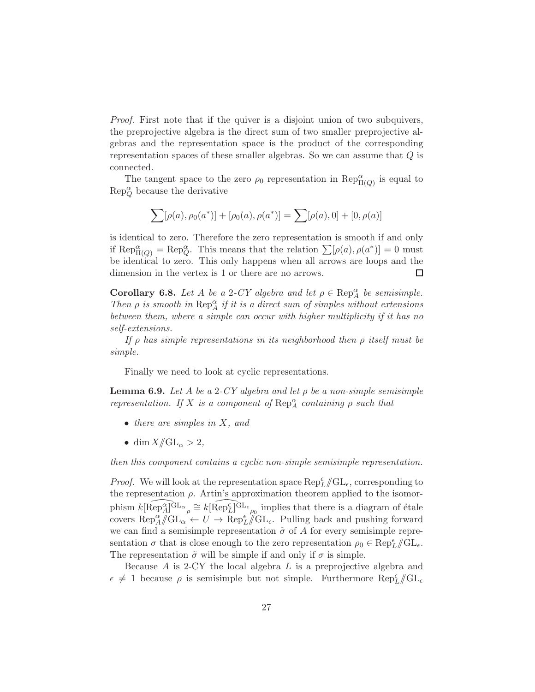Proof. First note that if the quiver is a disjoint union of two subquivers, the preprojective algebra is the direct sum of two smaller preprojective algebras and the representation space is the product of the corresponding representation spaces of these smaller algebras. So we can assume that Q is connected.

The tangent space to the zero  $\rho_0$  representation in  $\text{Rep}^{\alpha}_{\Pi(Q)}$  is equal to  $\text{Rep}_Q^{\alpha}$  because the derivative

$$
\sum [\rho(a), \rho_0(a^*)] + [\rho_0(a), \rho(a^*)] = \sum [\rho(a), 0] + [0, \rho(a)]
$$

is identical to zero. Therefore the zero representation is smooth if and only if Rep $_{\Pi(Q)}^{\alpha} = \text{Rep}_{Q}^{\alpha}$ . This means that the relation  $\sum [\rho(a), \rho(a^*)] = 0$  must be identical to zero. This only happens when all arrows are loops and the dimension in the vertex is 1 or there are no arrows. □

**Corollary 6.8.** Let A be a 2-CY algebra and let  $\rho \in \text{Rep}_A^{\alpha}$  be semisimple. Then  $\rho$  is smooth in  $\operatorname{Rep}_A^{\alpha}$  if it is a direct sum of simples without extensions between them, where a simple can occur with higher multiplicity if it has no self-extensions.

If  $\rho$  has simple representations in its neighborhood then  $\rho$  itself must be simple.

Finally we need to look at cyclic representations.

<span id="page-26-0"></span>**Lemma 6.9.** Let A be a 2-CY algebra and let  $\rho$  be a non-simple semisimple representation. If X is a component of  $\operatorname{Rep}_A^{\alpha}$  containing  $\rho$  such that

- $\bullet$  there are simples in X, and
- dim  $X/\!\!/ \mathrm{GL}_\alpha > 2$ ,

then this component contains a cyclic non-simple semisimple representation.

*Proof.* We will look at the representation space  $\text{Rep}_{L}^{\epsilon}/\!\!/ \text{GL}_{\epsilon}$ , corresponding to the representation  $\rho$ . Artin's approximation theorem applied to the isomorphism  $k \widehat{[\text{Rep}_A^{\alpha}]^{\text{GL}_{\alpha}}} \cong k \widehat{[\text{Rep}_L^{\epsilon}]^{\text{GL}_{\epsilon}}}$  implies that there is a diagram of étale covers  $\text{Rep}_A^{\alpha}/\!\!/ \text{GL}_\alpha \leftarrow U \rightarrow \text{Rep}_L^{\epsilon}/\!\!/ \text{GL}_\epsilon$ . Pulling back and pushing forward we can find a semisimple representation  $\tilde{\sigma}$  of A for every semisimple representation  $\sigma$  that is close enough to the zero representation  $\rho_0 \in \text{Rep}_{L}^{\epsilon}/\!\!/ \text{GL}_{\epsilon}$ . The representation  $\tilde{\sigma}$  will be simple if and only if  $\sigma$  is simple.

Because  $A$  is 2-CY the local algebra  $L$  is a preprojective algebra and  $\epsilon \neq 1$  because  $\rho$  is semisimple but not simple. Furthermore  $\text{Rep}_{L}^{\epsilon}/\text{GL}_{\epsilon}$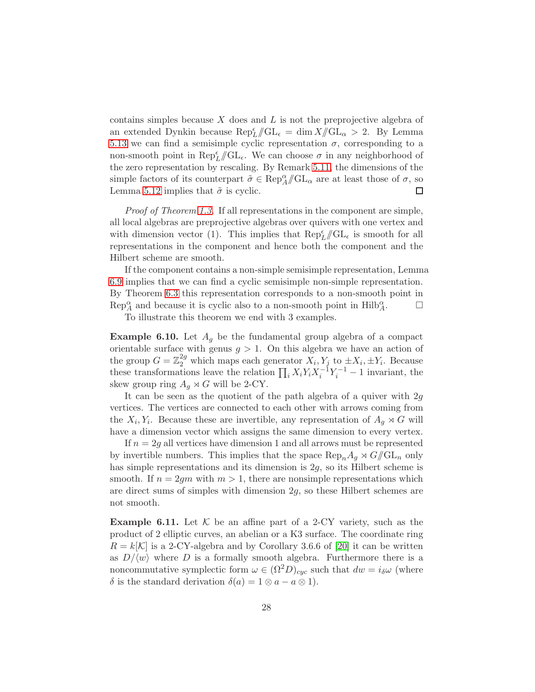contains simples because  $X$  does and  $L$  is not the preprojective algebra of an extended Dynkin because  $\text{Rep}_{L}^{\epsilon}/\!\!/ \text{GL}_{\epsilon} = \dim X/\!\!/ \text{GL}_{\alpha} > 2$ . By Lemma [5.13](#page-16-1) we can find a semisimple cyclic representation  $\sigma$ , corresponding to a non-smooth point in  $\operatorname{Rep}^{\epsilon}_L/\!\!/ \mathrm{GL}_{\epsilon}$ . We can choose  $\sigma$  in any neighborhood of the zero representation by rescaling. By Remark [5.11,](#page-15-3) the dimensions of the simple factors of its counterpart  $\tilde{\sigma} \in \text{Rep}_{A}^{\alpha}/\!\!/ \text{GL}_{\alpha}$  are at least those of  $\sigma$ , so Lemma [5.12](#page-16-0) implies that  $\tilde{\sigma}$  is cyclic.  $\Box$ 

Proof of Theorem [1.3.](#page-1-2) If all representations in the component are simple, all local algebras are preprojective algebras over quivers with one vertex and with dimension vector (1). This implies that  $\text{Rep}_{L}^{\epsilon}/\!\!/ \text{GL}_{\epsilon}$  is smooth for all representations in the component and hence both the component and the Hilbert scheme are smooth.

If the component contains a non-simple semisimple representation, Lemma [6.9](#page-26-0) implies that we can find a cyclic semisimple non-simple representation. By Theorem [6.3](#page-24-0) this representation corresponds to a non-smooth point in  $\text{Rep}_{A}^{\alpha}$  and because it is cyclic also to a non-smooth point in  $\text{Hilb}_{A}^{\alpha}$ .

To illustrate this theorem we end with 3 examples.

**Example 6.10.** Let  $A_q$  be the fundamental group algebra of a compact orientable surface with genus  $g > 1$ . On this algebra we have an action of the group  $G = \mathbb{Z}_2^{2g}$  which maps each generator  $X_i, Y_j$  to  $\pm X_i, \pm Y_i$ . Because these transformations leave the relation  $\prod_i X_i Y_i X_i^{-1} Y_i^{-1} - 1$  invariant, the skew group ring  $A_g \rtimes G$  will be 2-CY.

It can be seen as the quotient of the path algebra of a quiver with  $2g$ vertices. The vertices are connected to each other with arrows coming from the  $X_i, Y_i$ . Because these are invertible, any representation of  $A_g \rtimes G$  will have a dimension vector which assigns the same dimension to every vertex.

If  $n = 2g$  all vertices have dimension 1 and all arrows must be represented by invertible numbers. This implies that the space  $\text{Rep}_n A_g \rtimes G/\!\!/ \text{GL}_n$  only has simple representations and its dimension is 2g, so its Hilbert scheme is smooth. If  $n = 2qm$  with  $m > 1$ , there are nonsimple representations which are direct sums of simples with dimension 2g, so these Hilbert schemes are not smooth.

**Example 6.11.** Let  $K$  be an affine part of a 2-CY variety, such as the product of 2 elliptic curves, an abelian or a K3 surface. The coordinate ring  $R = k[\mathcal{K}]$  is a 2-CY-algebra and by Corollary 3.6.6 of [\[20\]](#page-30-0) it can be written as  $D/\langle w \rangle$  where D is a formally smooth algebra. Furthermore there is a noncommutative symplectic form  $\omega \in (\Omega^2 D)_{cyc}$  such that  $dw = i_{\delta} \omega$  (where δ is the standard derivation  $δ(a) = 1 ⊗ a − a ⊗ 1$ .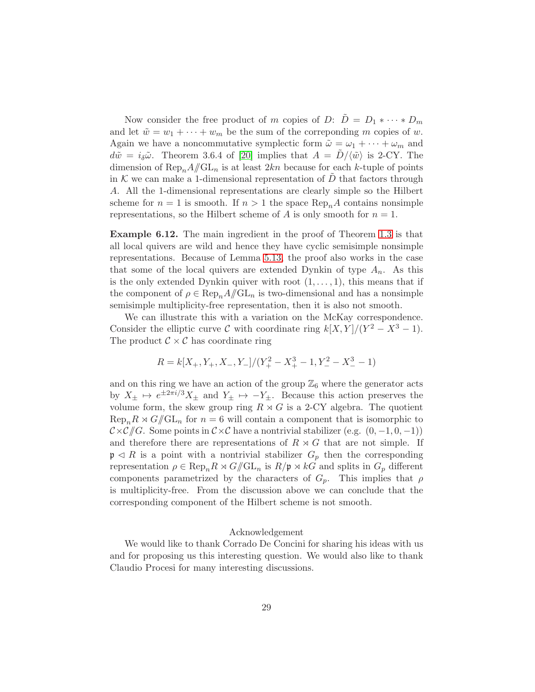Now consider the free product of m copies of D:  $\tilde{D} = D_1 * \cdots * D_m$ and let  $\tilde{w} = w_1 + \cdots + w_m$  be the sum of the corresponding m copies of w. Again we have a noncommutative symplectic form  $\tilde{\omega} = \omega_1 + \cdots + \omega_m$  and  $d\tilde{w} = i_{\delta}\tilde{\omega}$ . Theorem 3.6.4 of [\[20\]](#page-30-0) implies that  $A = D/\langle \tilde{w} \rangle$  is 2-CY. The dimension of  $\text{Rep}_n A/\!\!/ \text{GL}_n$  is at least  $2kn$  because for each k-tuple of points in K we can make a 1-dimensional representation of D that factors through A. All the 1-dimensional representations are clearly simple so the Hilbert scheme for  $n = 1$  is smooth. If  $n > 1$  the space  $\text{Rep}_nA$  contains nonsimple representations, so the Hilbert scheme of A is only smooth for  $n = 1$ .

Example 6.12. The main ingredient in the proof of Theorem [1.3](#page-1-2) is that all local quivers are wild and hence they have cyclic semisimple nonsimple representations. Because of Lemma [5.13,](#page-16-1) the proof also works in the case that some of the local quivers are extended Dynkin of type  $A_n$ . As this is the only extended Dynkin quiver with root  $(1, \ldots, 1)$ , this means that if the component of  $\rho \in \text{Rep}_n A/\hspace{-3pt}/ \text{GL}_n$  is two-dimensional and has a nonsimple semisimple multiplicity-free representation, then it is also not smooth.

We can illustrate this with a variation on the McKay correspondence. Consider the elliptic curve C with coordinate ring  $k[X, Y]/(Y^2 - X^3 - 1)$ . The product  $C \times C$  has coordinate ring

$$
R = k[X_+, Y_+, X_-, Y_-]/(Y_+^2 - X_+^3 - 1, Y_-^2 - X_-^3 - 1)
$$

and on this ring we have an action of the group  $\mathbb{Z}_6$  where the generator acts by  $X_{\pm} \mapsto e^{\pm 2\pi i/3} X_{\pm}$  and  $Y_{\pm} \mapsto -Y_{\pm}$ . Because this action preserves the volume form, the skew group ring  $R \rtimes G$  is a 2-CY algebra. The quotient  $\text{Rep}_n R \rtimes G/\!\!/ \text{GL}_n$  for  $n = 6$  will contain a component that is isomorphic to  $C \times C / C$ . Some points in  $C \times C$  have a nontrivial stabilizer (e.g.  $(0, -1, 0, -1)$ ) and therefore there are representations of  $R \rtimes G$  that are not simple. If  $\mathfrak{p} \triangleleft R$  is a point with a nontrivial stabilizer  $G_p$  then the corresponding representation  $\rho \in \text{Rep}_n R \rtimes G/\!\!/ \text{GL}_n$  is  $R/\mathfrak{p} \rtimes kG$  and splits in  $G_p$  different components parametrized by the characters of  $G_p$ . This implies that  $\rho$ is multiplicity-free. From the discussion above we can conclude that the corresponding component of the Hilbert scheme is not smooth.

#### Acknowledgement

We would like to thank Corrado De Concini for sharing his ideas with us and for proposing us this interesting question. We would also like to thank Claudio Procesi for many interesting discussions.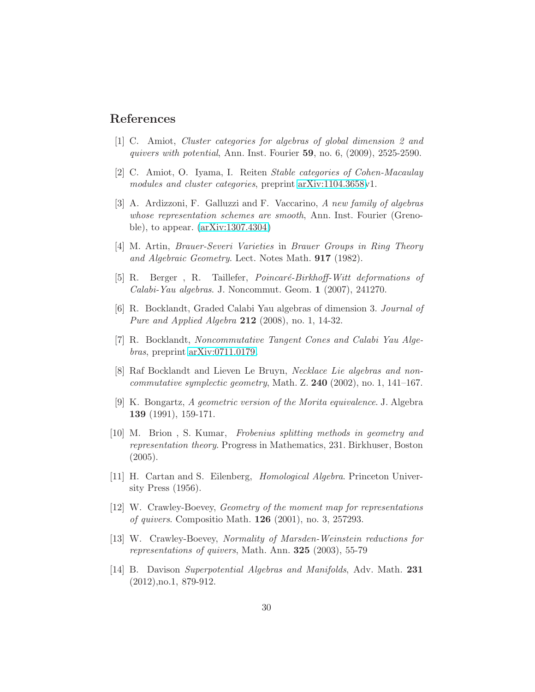# <span id="page-29-8"></span>References

- <span id="page-29-9"></span>[1] C. Amiot, Cluster categories for algebras of global dimension 2 and quivers with potential, Ann. Inst. Fourier 59, no. 6, (2009), 2525-2590.
- <span id="page-29-0"></span>[2] C. Amiot, O. Iyama, I. Reiten Stable categories of Cohen-Macaulay modules and cluster categories, preprint [arXiv:1104.3658v](http://arxiv.org/abs/1104.3658)1.
- [3] A. Ardizzoni, F. Galluzzi and F. Vaccarino, A new family of algebras whose representation schemes are smooth, Ann. Inst. Fourier (Grenoble), to appear. [\(arXiv:1307.4304\)](http://arxiv.org/abs/1307.4304)
- <span id="page-29-10"></span><span id="page-29-5"></span>[4] M. Artin, Brauer-Severi Varieties in Brauer Groups in Ring Theory and Algebraic Geometry. Lect. Notes Math. 917 (1982).
- <span id="page-29-1"></span>[5] R. Berger, R. Taillefer, *Poincaré-Birkhoff-Witt deformations of* Calabi-Yau algebras. J. Noncommut. Geom. 1 (2007), 241270.
- <span id="page-29-2"></span>[6] R. Bocklandt, Graded Calabi Yau algebras of dimension 3. Journal of Pure and Applied Algebra 212 (2008), no. 1, 14-32.
- [7] R. Bocklandt, Noncommutative Tangent Cones and Calabi Yau Algebras, preprint [arXiv:0711.0179.](http://arxiv.org/abs/0711.0179)
- <span id="page-29-7"></span>[8] Raf Bocklandt and Lieven Le Bruyn, Necklace Lie algebras and non*commutative symplectic geometry, Math. Z.* **240** (2002), no. 1, 141–167.
- [9] K. Bongartz, A geometric version of the Morita equivalence. J. Algebra 139 (1991), 159-171.
- <span id="page-29-6"></span>[10] M. Brion , S. Kumar, Frobenius splitting methods in geometry and representation theory. Progress in Mathematics, 231. Birkhuser, Boston (2005).
- <span id="page-29-11"></span>[11] H. Cartan and S. Eilenberg, Homological Algebra. Princeton University Press (1956).
- <span id="page-29-12"></span><span id="page-29-4"></span>[12] W. Crawley-Boevey, Geometry of the moment map for representations of quivers. Compositio Math. 126 (2001), no. 3, 257293.
- [13] W. Crawley-Boevey, Normality of Marsden-Weinstein reductions for representations of quivers, Math. Ann.  $325$  (2003), 55-79
- <span id="page-29-3"></span>[14] B. Davison Superpotential Algebras and Manifolds, Adv. Math. 231 (2012),no.1, 879-912.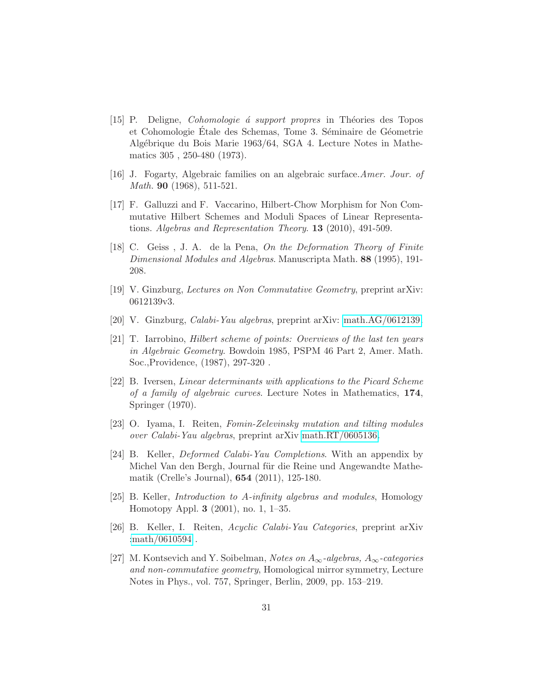- <span id="page-30-4"></span>[15] P. Deligne, *Cohomologie á support propres* in Théories des Topos et Cohomologie Etale des Schemas, Tome 3. Séminaire de Géometrie Algébrique du Bois Marie 1963/64, SGA 4. Lecture Notes in Mathematics 305 , 250-480 (1973).
- <span id="page-30-6"></span><span id="page-30-2"></span>[16] J. Fogarty, Algebraic families on an algebraic surface.Amer. Jour. of Math. 90 (1968), 511-521.
- [17] F. Galluzzi and F. Vaccarino, Hilbert-Chow Morphism for Non Commutative Hilbert Schemes and Moduli Spaces of Linear Representations. Algebras and Representation Theory. 13 (2010), 491-509.
- <span id="page-30-1"></span>[18] C. Geiss , J. A. de la Pena, On the Deformation Theory of Finite Dimensional Modules and Algebras. Manuscripta Math. 88 (1995), 191- 208.
- <span id="page-30-10"></span><span id="page-30-0"></span>[19] V. Ginzburg, Lectures on Non Commutative Geometry, preprint arXiv: 0612139v3.
- <span id="page-30-3"></span>[20] V. Ginzburg, Calabi-Yau algebras, preprint arXiv: [math.AG/0612139.](http://arxiv.org/abs/math/0612139)
- [21] T. Iarrobino, Hilbert scheme of points: Overviews of the last ten years in Algebraic Geometry. Bowdoin 1985, PSPM 46 Part 2, Amer. Math. Soc.,Providence, (1987), 297-320 .
- <span id="page-30-5"></span>[22] B. Iversen, Linear determinants with applications to the Picard Scheme of a family of algebraic curves. Lecture Notes in Mathematics, 174, Springer (1970).
- <span id="page-30-7"></span>[23] O. Iyama, I. Reiten, Fomin-Zelevinsky mutation and tilting modules over Calabi-Yau algebras, preprint arXiv [math.RT/0605136.](http://arxiv.org/abs/math/0605136)
- <span id="page-30-8"></span>[24] B. Keller, Deformed Calabi-Yau Completions. With an appendix by Michel Van den Bergh, Journal für die Reine und Angewandte Mathematik (Crelle's Journal), 654 (2011), 125-180.
- <span id="page-30-12"></span>[25] B. Keller, Introduction to A-infinity algebras and modules, Homology Homotopy Appl. 3 (2001), no. 1, 1–35.
- <span id="page-30-9"></span>[26] B. Keller, I. Reiten, Acyclic Calabi-Yau Categories, preprint arXiv [:math/0610594](http://arxiv.org/abs/math/0610594) .
- <span id="page-30-11"></span>[27] M. Kontsevich and Y. Soibelman, Notes on  $A_{\infty}$ -algebras,  $A_{\infty}$ -categories and non-commutative geometry, Homological mirror symmetry, Lecture Notes in Phys., vol. 757, Springer, Berlin, 2009, pp. 153–219.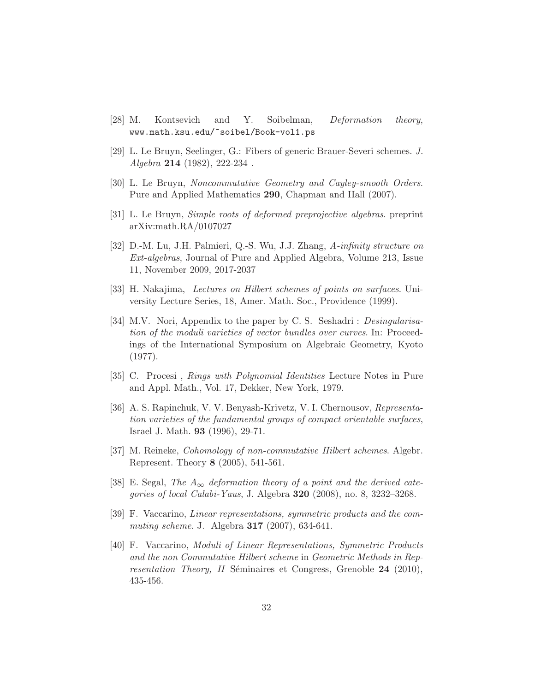- <span id="page-31-10"></span><span id="page-31-4"></span>[28] M. Kontsevich and Y. Soibelman, *Deformation theory*, www.math.ksu.edu/~soibel/Book-vol1.ps
- <span id="page-31-0"></span>[29] L. Le Bruyn, Seelinger, G.: Fibers of generic Brauer-Severi schemes. J. Algebra 214 (1982), 222-234 .
- <span id="page-31-9"></span>[30] L. Le Bruyn, Noncommutative Geometry and Cayley-smooth Orders. Pure and Applied Mathematics 290, Chapman and Hall (2007).
- <span id="page-31-12"></span>[31] L. Le Bruyn, Simple roots of deformed preprojective algebras. preprint arXiv:math.RA/0107027
- [32] D.-M. Lu, J.H. Palmieri, Q.-S. Wu, J.J. Zhang, A-infinity structure on Ext-algebras, Journal of Pure and Applied Algebra, Volume 213, Issue 11, November 2009, 2017-2037
- <span id="page-31-5"></span><span id="page-31-2"></span>[33] H. Nakajima, Lectures on Hilbert schemes of points on surfaces. University Lecture Series, 18, Amer. Math. Soc., Providence (1999).
- [34] M.V. Nori, Appendix to the paper by C. S. Seshadri : Desingularisation of the moduli varieties of vector bundles over curves. In: Proceedings of the International Symposium on Algebraic Geometry, Kyoto (1977).
- <span id="page-31-6"></span><span id="page-31-1"></span>[35] C. Procesi , Rings with Polynomial Identities Lecture Notes in Pure and Appl. Math., Vol. 17, Dekker, New York, 1979.
- [36] A. S. Rapinchuk, V. V. Benyash-Krivetz, V. I. Chernousov, Representation varieties of the fundamental groups of compact orientable surfaces, Israel J. Math. 93 (1996), 29-71.
- <span id="page-31-11"></span><span id="page-31-3"></span>[37] M. Reineke, Cohomology of non-commutative Hilbert schemes. Algebr. Represent. Theory 8 (2005), 541-561.
- [38] E. Segal, The  $A_{\infty}$  deformation theory of a point and the derived categories of local Calabi-Yaus, J. Algebra **320** (2008), no. 8, 3232-3268.
- <span id="page-31-7"></span>[39] F. Vaccarino, Linear representations, symmetric products and the commuting scheme. J. Algebra **317** (2007), 634-641.
- <span id="page-31-8"></span>[40] F. Vaccarino, Moduli of Linear Representations, Symmetric Products and the non Commutative Hilbert scheme in Geometric Methods in Representation Theory, II Séminaires et Congress, Grenoble  $24$  (2010), 435-456.